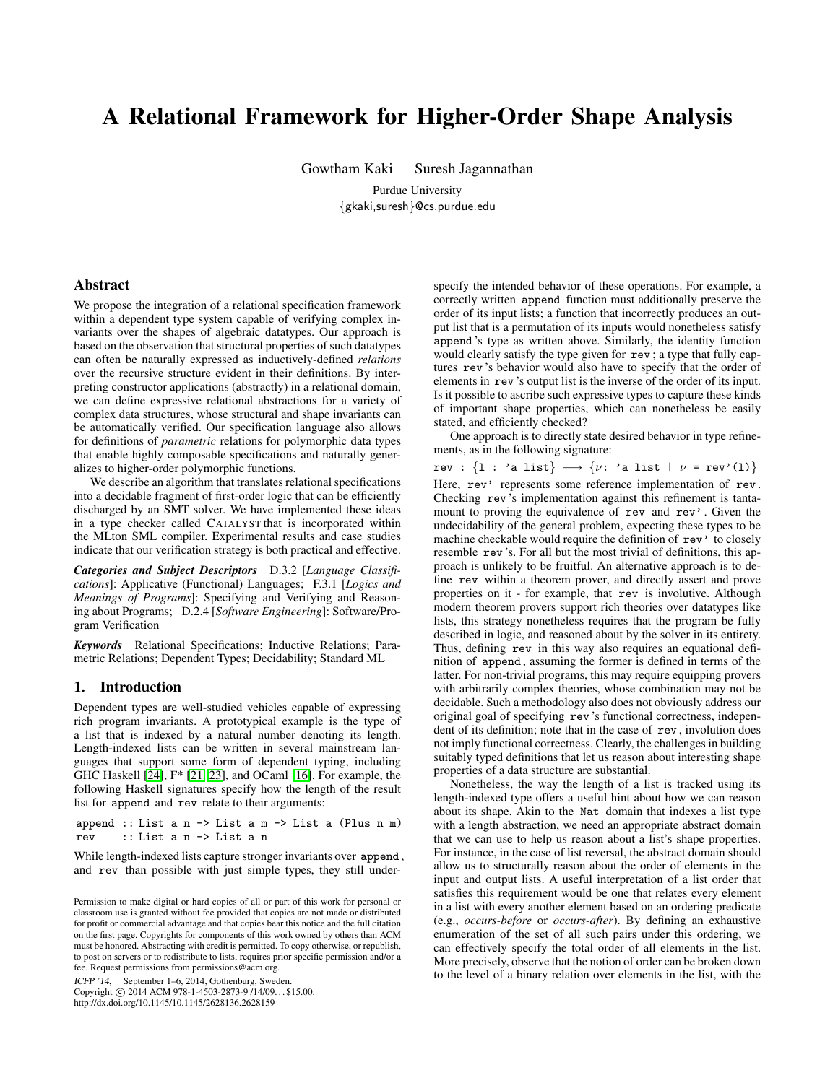# A Relational Framework for Higher-Order Shape Analysis

Gowtham Kaki Suresh Jagannathan

Purdue University {gkaki,suresh}@cs.purdue.edu

# Abstract

We propose the integration of a relational specification framework within a dependent type system capable of verifying complex invariants over the shapes of algebraic datatypes. Our approach is based on the observation that structural properties of such datatypes can often be naturally expressed as inductively-defined *relations* over the recursive structure evident in their definitions. By interpreting constructor applications (abstractly) in a relational domain, we can define expressive relational abstractions for a variety of complex data structures, whose structural and shape invariants can be automatically verified. Our specification language also allows for definitions of *parametric* relations for polymorphic data types that enable highly composable specifications and naturally generalizes to higher-order polymorphic functions.

We describe an algorithm that translates relational specifications into a decidable fragment of first-order logic that can be efficiently discharged by an SMT solver. We have implemented these ideas in a type checker called CATALYST that is incorporated within the MLton SML compiler. Experimental results and case studies indicate that our verification strategy is both practical and effective.

*Categories and Subject Descriptors* D.3.2 [*Language Classifications*]: Applicative (Functional) Languages; F.3.1 [*Logics and Meanings of Programs*]: Specifying and Verifying and Reasoning about Programs; D.2.4 [*Software Engineering*]: Software/Program Verification

*Keywords* Relational Specifications; Inductive Relations; Parametric Relations; Dependent Types; Decidability; Standard ML

## 1. Introduction

Dependent types are well-studied vehicles capable of expressing rich program invariants. A prototypical example is the type of a list that is indexed by a natural number denoting its length. Length-indexed lists can be written in several mainstream languages that support some form of dependent typing, including GHC Haskell [\[24\]](#page-13-0), F\* [\[21,](#page-13-1) [23\]](#page-13-2), and OCaml [\[16\]](#page-13-3). For example, the following Haskell signatures specify how the length of the result list for append and rev relate to their arguments:

append :: List a n -> List a m -> List a (Plus n m) rev :: List a n -> List a n

While length-indexed lists capture stronger invariants over append , and rev than possible with just simple types, they still under-

ICFP '14, September 1–6, 2014, Gothenburg, Sweden. Copyright © 2014 ACM 978-1-4503-2873-9 /14/09... \$15.00. http://dx.doi.org/10.1145/10.1145/2628136.2628159

specify the intended behavior of these operations. For example, a correctly written append function must additionally preserve the order of its input lists; a function that incorrectly produces an output list that is a permutation of its inputs would nonetheless satisfy append 's type as written above. Similarly, the identity function would clearly satisfy the type given for rev ; a type that fully captures rev 's behavior would also have to specify that the order of elements in rev 's output list is the inverse of the order of its input. Is it possible to ascribe such expressive types to capture these kinds of important shape properties, which can nonetheless be easily stated, and efficiently checked?

One approach is to directly state desired behavior in type refinements, as in the following signature:

rev : {1 : 'a list}  $\longrightarrow$  { $\nu$ : 'a list |  $\nu$  = rev'(1)}

Here, rev' represents some reference implementation of rev. Checking rev 's implementation against this refinement is tantamount to proving the equivalence of rev and rev' . Given the undecidability of the general problem, expecting these types to be machine checkable would require the definition of rev' to closely resemble rev 's. For all but the most trivial of definitions, this approach is unlikely to be fruitful. An alternative approach is to define rev within a theorem prover, and directly assert and prove properties on it - for example, that rev is involutive. Although modern theorem provers support rich theories over datatypes like lists, this strategy nonetheless requires that the program be fully described in logic, and reasoned about by the solver in its entirety. Thus, defining rev in this way also requires an equational definition of append , assuming the former is defined in terms of the latter. For non-trivial programs, this may require equipping provers with arbitrarily complex theories, whose combination may not be decidable. Such a methodology also does not obviously address our original goal of specifying rev 's functional correctness, independent of its definition; note that in the case of rev , involution does not imply functional correctness. Clearly, the challenges in building suitably typed definitions that let us reason about interesting shape properties of a data structure are substantial.

Nonetheless, the way the length of a list is tracked using its length-indexed type offers a useful hint about how we can reason about its shape. Akin to the Nat domain that indexes a list type with a length abstraction, we need an appropriate abstract domain that we can use to help us reason about a list's shape properties. For instance, in the case of list reversal, the abstract domain should allow us to structurally reason about the order of elements in the input and output lists. A useful interpretation of a list order that satisfies this requirement would be one that relates every element in a list with every another element based on an ordering predicate (e.g., *occurs-before* or *occurs-after*). By defining an exhaustive enumeration of the set of all such pairs under this ordering, we can effectively specify the total order of all elements in the list. More precisely, observe that the notion of order can be broken down to the level of a binary relation over elements in the list, with the

Permission to make digital or hard copies of all or part of this work for personal or classroom use is granted without fee provided that copies are not made or distributed for profit or commercial advantage and that copies bear this notice and the full citation on the first page. Copyrights for components of this work owned by others than ACM must be honored. Abstracting with credit is permitted. To copy otherwise, or republish, to post on servers or to redistribute to lists, requires prior specific permission and/or a fee. Request permissions from permissions@acm.org.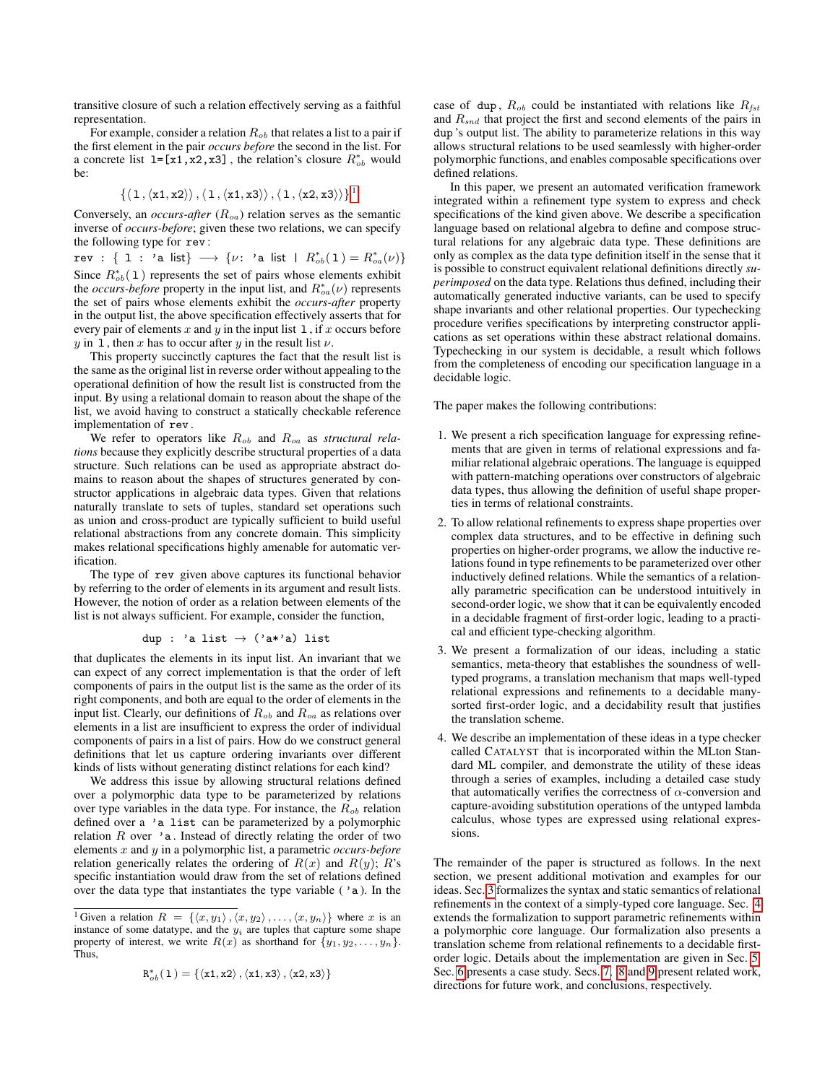transitive closure of such a relation effectively serving as a faithful representation.

For example, consider a relation  $R_{ob}$  that relates a list to a pair if the first element in the pair *occurs before* the second in the list. For a concrete list  $1 = [x1, x2, x3]$ , the relation's closure  $R_{ob}^{*}$  would be:

$$
\{\left<1\,,\left<\text{x1},\text{x2}\right>\right>,\left<1\,,\left<\text{x1},\text{x3}\right>\right>,\left<1\,,\left<\text{x2},\text{x3}\right>\right>\}^1
$$

Conversely, an *occurs-after*  $(R_{oa})$  relation serves as the semantic inverse of *occurs-before*; given these two relations, we can specify the following type for rev :

rev : { 1 : 'a list}  $\longrightarrow$  { $\nu$ : 'a list |  $R^*_{ob}(1) = R^*_{oa}(\nu)$ } Since  $R_{ob}^{*}(1)$  represents the set of pairs whose elements exhibit the *occurs-before* property in the input list, and  $R_{oa}^*(\nu)$  represents the set of pairs whose elements exhibit the *occurs-after* property in the output list, the above specification effectively asserts that for every pair of elements  $x$  and  $y$  in the input list  $1$ , if  $x$  occurs before  $y$  in 1, then x has to occur after y in the result list  $\nu$ .

This property succinctly captures the fact that the result list is the same as the original list in reverse order without appealing to the operational definition of how the result list is constructed from the input. By using a relational domain to reason about the shape of the list, we avoid having to construct a statically checkable reference implementation of rev .

We refer to operators like  $R_{ob}$  and  $R_{oa}$  as *structural relations* because they explicitly describe structural properties of a data structure. Such relations can be used as appropriate abstract domains to reason about the shapes of structures generated by constructor applications in algebraic data types. Given that relations naturally translate to sets of tuples, standard set operations such as union and cross-product are typically sufficient to build useful relational abstractions from any concrete domain. This simplicity makes relational specifications highly amenable for automatic verification.

The type of rev given above captures its functional behavior by referring to the order of elements in its argument and result lists. However, the notion of order as a relation between elements of the list is not always sufficient. For example, consider the function,

$$
\text{dup : 'a list} \rightarrow ('a*'a) list
$$

that duplicates the elements in its input list. An invariant that we can expect of any correct implementation is that the order of left components of pairs in the output list is the same as the order of its right components, and both are equal to the order of elements in the input list. Clearly, our definitions of  $R_{ob}$  and  $R_{oa}$  as relations over elements in a list are insufficient to express the order of individual components of pairs in a list of pairs. How do we construct general definitions that let us capture ordering invariants over different kinds of lists without generating distinct relations for each kind?

We address this issue by allowing structural relations defined over a polymorphic data type to be parameterized by relations over type variables in the data type. For instance, the  $R_{ob}$  relation defined over a 'a list can be parameterized by a polymorphic relation  $R$  over 'a. Instead of directly relating the order of two elements x and y in a polymorphic list, a parametric *occurs-before* relation generically relates the ordering of  $R(x)$  and  $R(y)$ ; R's specific instantiation would draw from the set of relations defined over the data type that instantiates the type variable ( 'a ). In the

$$
R_{ob}^{*}(1) = \{ \langle x1, x2 \rangle, \langle x1, x3 \rangle, \langle x2, x3 \rangle \}
$$

case of dup,  $R_{ob}$  could be instantiated with relations like  $R_{fst}$ and  $R_{snd}$  that project the first and second elements of the pairs in dup 's output list. The ability to parameterize relations in this way allows structural relations to be used seamlessly with higher-order polymorphic functions, and enables composable specifications over defined relations.

In this paper, we present an automated verification framework integrated within a refinement type system to express and check specifications of the kind given above. We describe a specification language based on relational algebra to define and compose structural relations for any algebraic data type. These definitions are only as complex as the data type definition itself in the sense that it is possible to construct equivalent relational definitions directly *superimposed* on the data type. Relations thus defined, including their automatically generated inductive variants, can be used to specify shape invariants and other relational properties. Our typechecking procedure verifies specifications by interpreting constructor applications as set operations within these abstract relational domains. Typechecking in our system is decidable, a result which follows from the completeness of encoding our specification language in a decidable logic.

The paper makes the following contributions:

- 1. We present a rich specification language for expressing refinements that are given in terms of relational expressions and familiar relational algebraic operations. The language is equipped with pattern-matching operations over constructors of algebraic data types, thus allowing the definition of useful shape properties in terms of relational constraints.
- 2. To allow relational refinements to express shape properties over complex data structures, and to be effective in defining such properties on higher-order programs, we allow the inductive relations found in type refinements to be parameterized over other inductively defined relations. While the semantics of a relationally parametric specification can be understood intuitively in second-order logic, we show that it can be equivalently encoded in a decidable fragment of first-order logic, leading to a practical and efficient type-checking algorithm.
- 3. We present a formalization of our ideas, including a static semantics, meta-theory that establishes the soundness of welltyped programs, a translation mechanism that maps well-typed relational expressions and refinements to a decidable manysorted first-order logic, and a decidability result that justifies the translation scheme.
- 4. We describe an implementation of these ideas in a type checker called CATALYST that is incorporated within the MLton Standard ML compiler, and demonstrate the utility of these ideas through a series of examples, including a detailed case study that automatically verifies the correctness of  $\alpha$ -conversion and capture-avoiding substitution operations of the untyped lambda calculus, whose types are expressed using relational expressions.

The remainder of the paper is structured as follows. In the next section, we present additional motivation and examples for our ideas. Sec. [3](#page-3-0) formalizes the syntax and static semantics of relational refinements in the context of a simply-typed core language. Sec. [4](#page-7-0) extends the formalization to support parametric refinements within a polymorphic core language. Our formalization also presents a translation scheme from relational refinements to a decidable firstorder logic. Details about the implementation are given in Sec. [5.](#page-9-0) Sec. [6](#page-10-0) presents a case study. Secs. [7,](#page-12-0) [8](#page-12-1) and [9](#page-13-4) present related work, directions for future work, and conclusions, respectively.

<span id="page-1-0"></span><sup>&</sup>lt;sup>1</sup> Given a relation  $R = \{ \langle x, y_1 \rangle, \langle x, y_2 \rangle, \ldots, \langle x, y_n \rangle \}$  where x is an instance of some datatype, and the  $y_i$  are tuples that capture some shape property of interest, we write  $R(x)$  as shorthand for  $\{y_1, y_2, \ldots, y_n\}$ . Thus,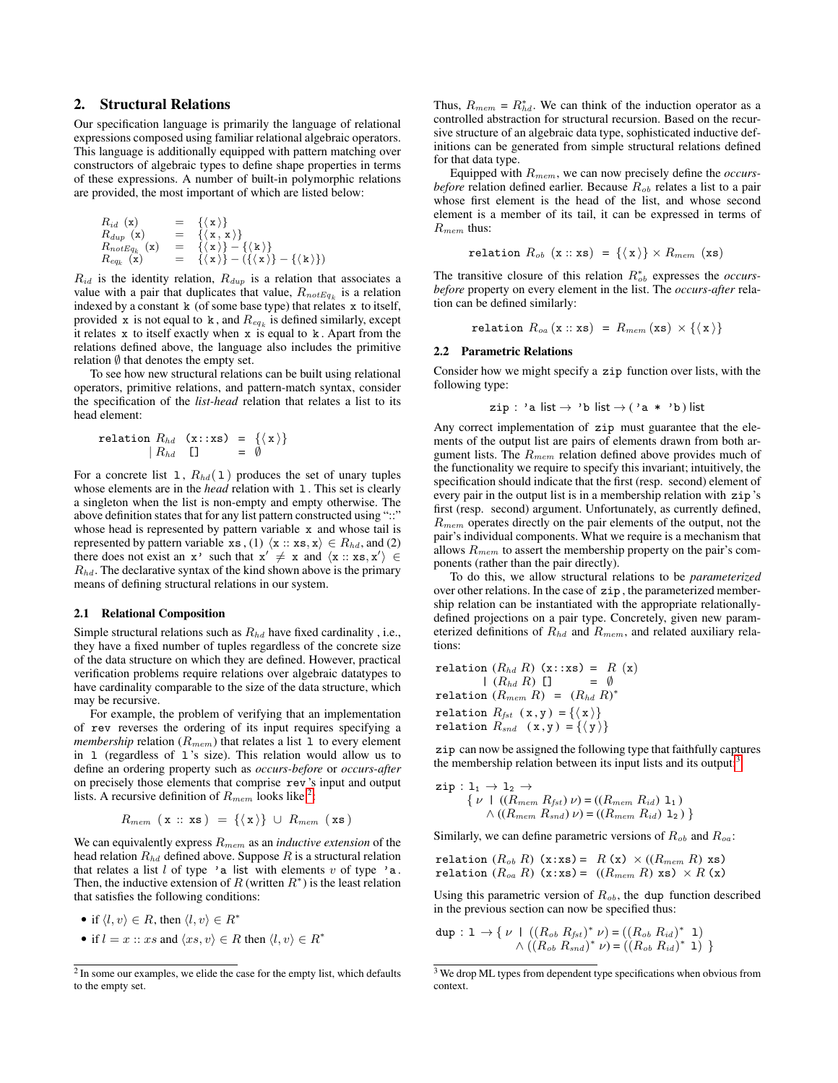# <span id="page-2-2"></span>2. Structural Relations

Our specification language is primarily the language of relational expressions composed using familiar relational algebraic operators. This language is additionally equipped with pattern matching over constructors of algebraic types to define shape properties in terms of these expressions. A number of built-in polymorphic relations are provided, the most important of which are listed below:

$$
R_{id} (\mathbf{x}) = {\langle \mathbf{x} \rangle}
$$
  
\n
$$
R_{dup} (\mathbf{x}) = {\langle \mathbf{x}, \mathbf{x} \rangle}
$$
  
\n
$$
R_{notEq_k} (\mathbf{x}) = {\langle \mathbf{x} \rangle} - {\langle \mathbf{k} \rangle}
$$
  
\n
$$
R_{eq_k} (\mathbf{x}) = {\langle \mathbf{x} \rangle} - ({\langle \mathbf{x} \rangle} - {\langle \mathbf{k} \rangle})
$$

 $R_{id}$  is the identity relation,  $R_{dup}$  is a relation that associates a value with a pair that duplicates that value,  $R_{notEq_k}$  is a relation indexed by a constant k (of some base type) that relates x to itself, provided x is not equal to k, and  $R_{eq_k}$  is defined similarly, except it relates x to itself exactly when x is equal to k . Apart from the relations defined above, the language also includes the primitive relation  $\emptyset$  that denotes the empty set.

To see how new structural relations can be built using relational operators, primitive relations, and pattern-match syntax, consider the specification of the *list-head* relation that relates a list to its head element:

$$
\text{relation } R_{hd} \quad (\text{x::xs}) = \{ \langle x \rangle \} \\ | R_{hd} \quad [ ] \qquad = \emptyset
$$

For a concrete list 1,  $R_{hd}(1)$  produces the set of unary tuples whose elements are in the *head* relation with 1. This set is clearly a singleton when the list is non-empty and empty otherwise. The above definition states that for any list pattern constructed using "::" whose head is represented by pattern variable x and whose tail is represented by pattern variable xs, (1)  $\langle x :: xs, x \rangle \in R_{hd}$ , and (2) there does not exist an  $x'$  such that  $x' \neq x$  and  $\langle x :: xs, x' \rangle \in$  $R_{hd}$ . The declarative syntax of the kind shown above is the primary means of defining structural relations in our system.

## 2.1 Relational Composition

Simple structural relations such as  $R_{hd}$  have fixed cardinality, i.e., they have a fixed number of tuples regardless of the concrete size of the data structure on which they are defined. However, practical verification problems require relations over algebraic datatypes to have cardinality comparable to the size of the data structure, which may be recursive.

For example, the problem of verifying that an implementation of rev reverses the ordering of its input requires specifying a *membership* relation ( $R_{mem}$ ) that relates a list 1 to every element in l (regardless of l 's size). This relation would allow us to define an ordering property such as *occurs-before* or *occurs-after* on precisely those elements that comprise rev 's input and output lists. A recursive definition of  $R_{mem}$  looks like <sup>[2](#page-2-0)</sup>:

$$
R_{mem} (\mathbf{x} :: \mathbf{x} \mathbf{s}) = \{ \langle \mathbf{x} \rangle \} \cup R_{mem} (\mathbf{x} \mathbf{s})
$$

We can equivalently express  $R_{mem}$  as an *inductive extension* of the head relation  $R_{hd}$  defined above. Suppose  $R$  is a structural relation that relates a list  $l$  of type 'a list with elements  $v$  of type 'a. Then, the inductive extension of R (written  $R^*$ ) is the least relation that satisfies the following conditions:

- if  $\langle l, v \rangle \in R$ , then  $\langle l, v \rangle \in R^*$
- if  $l = x :: xs$  and  $\langle xs, v \rangle \in R$  then  $\langle l, v \rangle \in R^*$

Thus,  $R_{mem} = R_{hd}^*$ . We can think of the induction operator as a controlled abstraction for structural recursion. Based on the recursive structure of an algebraic data type, sophisticated inductive definitions can be generated from simple structural relations defined for that data type.

Equipped with Rmem , we can now precisely define the *occursbefore* relation defined earlier. Because  $R_{ob}$  relates a list to a pair whose first element is the head of the list, and whose second element is a member of its tail, it can be expressed in terms of  $R_{mem}$  thus:

relation 
$$
R_{ob}
$$
 (x :: xs) = { $\langle x \rangle$ } ×  $R_{mem}$  (xs)

The transitive closure of this relation  $R_{ob}^{*}$  expresses the *occursbefore* property on every element in the list. The *occurs-after* relation can be defined similarly:

relation  $R_{oa}$  (x :: xs) =  $R_{mem}$  (xs)  $\times$  { $\langle x \rangle$ }

## 2.2 Parametric Relations

Consider how we might specify a zip function over lists, with the following type:

$$
\mathtt{zip}{}:{}~\mathtt{'a}~\mathsf{list} \to {}~\mathtt{'b}~\mathsf{list} \to (~\mathtt{'a}~*~~\mathtt{'b})~\mathsf{list}
$$

Any correct implementation of zip must guarantee that the elements of the output list are pairs of elements drawn from both argument lists. The  $R_{mem}$  relation defined above provides much of the functionality we require to specify this invariant; intuitively, the specification should indicate that the first (resp. second) element of every pair in the output list is in a membership relation with zip 's first (resp. second) argument. Unfortunately, as currently defined,  $R_{mem}$  operates directly on the pair elements of the output, not the pair's individual components. What we require is a mechanism that allows  $R_{mem}$  to assert the membership property on the pair's components (rather than the pair directly).

To do this, we allow structural relations to be *parameterized* over other relations. In the case of zip , the parameterized membership relation can be instantiated with the appropriate relationallydefined projections on a pair type. Concretely, given new parameterized definitions of  $R_{hd}$  and  $R_{mem}$ , and related auxiliary relations:

relation 
$$
(R_{hd} R)
$$
 (x::xs) =  $R$  (x)  
\n $|(R_{hd} R)$  [] =  $\emptyset$   
\nrelation  $(R_{mem} R)$  =  $(R_{hd} R)^*$   
\nrelation  $R_{fst}$  (x,y) = { $\langle x \rangle$ }  
\nrelation  $R_{snd}$  (x,y) = { $\langle y \rangle$ }

zip can now be assigned the following type that faithfully captures the membership relation between its input lists and its output: $3$ 

$$
\mathsf{zip} : 1_1 \to 1_2 \to
$$
\n
$$
\{ \nu \mid ((R_{mem} R_{fst}) \nu) = ((R_{mem} R_{id}) 1_1)
$$
\n
$$
\wedge ((R_{mem} R_{snd}) \nu) = ((R_{mem} R_{id}) 1_2 ) \}
$$

Similarly, we can define parametric versions of  $R_{ob}$  and  $R_{oa}$ :

relation  $(R_{ob} R)$  (x:xs) =  $R$  (x)  $\times$  (( $R_{mem} R$ ) xs) relation  $(R_{oa} R)$  (x:xs) =  $((R_{mem} R)$  xs)  $\times R$  (x)

Using this parametric version of  $R_{ob}$ , the dup function described in the previous section can now be specified thus:

$$
\text{dup}: 1 \to \{ \nu \mid ((R_{ob} R_{fst})^* \nu) = ((R_{ob} R_{id})^* 1) \\ \wedge ((R_{ob} R_{snd})^* \nu) = ((R_{ob} R_{id})^* 1) \}
$$

<span id="page-2-0"></span> $2 \text{ In some our examples, we elide the case for the empty list, which defaults.}$ to the empty set.

<span id="page-2-1"></span><sup>&</sup>lt;sup>3</sup> We drop ML types from dependent type specifications when obvious from context.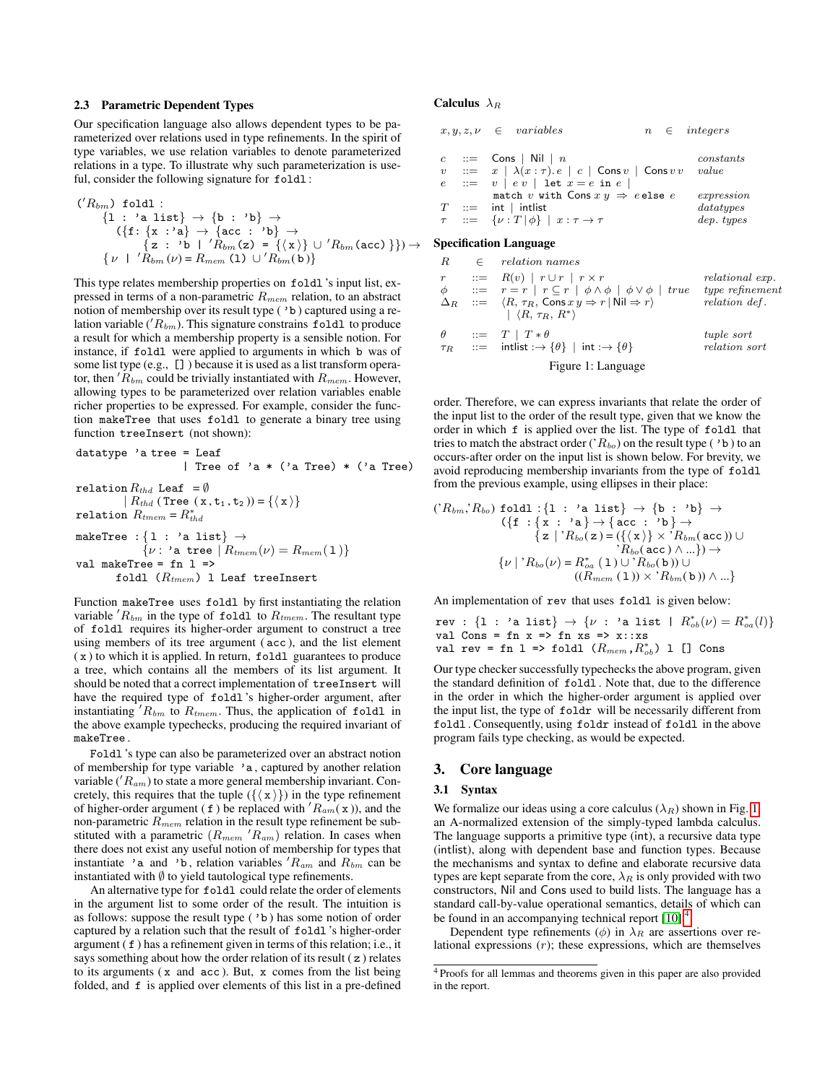## <span id="page-3-3"></span>2.3 Parametric Dependent Types

Our specification language also allows dependent types to be parameterized over relations used in type refinements. In the spirit of type variables, we use relation variables to denote parameterized relations in a type. To illustrate why such parameterization is useful, consider the following signature for foldl :

$$
('R_{bm}) \text{ fold} :\{1 : 'a list\} \rightarrow \{b : 'b\} \rightarrow(\{f : \{x : 'a\} \rightarrow \{acc : 'b\} \rightarrow\{z : 'b \mid 'R_{bm}(z) = \{\langle x \rangle\} \cup 'R_{bm}(\text{acc})\})\rightarrow\{\nu \mid 'R_{bm}(\nu) = R_{mem} (1) \cup 'R_{bm}(b)\}
$$

This type relates membership properties on foldl 's input list, expressed in terms of a non-parametric  $R_{mem}$  relation, to an abstract notion of membership over its result type ( 'b ) captured using a relation variable ( $R_{bm}$ ). This signature constrains foldl to produce a result for which a membership property is a sensible notion. For instance, if foldl were applied to arguments in which b was of some list type (e.g., [] ) because it is used as a list transform operator, then  $R_{bm}$  could be trivially instantiated with  $R_{mem}$ . However, allowing types to be parameterized over relation variables enable richer properties to be expressed. For example, consider the function makeTree that uses foldl to generate a binary tree using function treeInsert (not shown):

datatype 'a tree = Leaf | Tree of 'a \* ('a Tree) \* ('a Tree)

relation 
$$
R_{thd} \text{Leaf } = \emptyset
$$
\n
$$
R_{thd} \text{ (Tree } (x, t_1, t_2)) = \{ \langle x \rangle \}
$$
\nrelation 
$$
R_{tmem} = R_{thd}^*
$$
\nmakeTree : 
$$
\{1 : \text{'a list}\} \rightarrow
$$
\n
$$
\{\nu : \text{'a tree} \mid R_{tmem}(\nu) = R_{mem}(1)\}
$$
\nval makeTree = fn 1 => fold1 (R\_{tmem}) 1 leaf treeInsert

Function makeTree uses foldl by first instantiating the relation variable  $'R_{bm}$  in the type of foldl to  $R_{tmem}$ . The resultant type of foldl requires its higher-order argument to construct a tree using members of its tree argument ( acc ), and the list element ( x ) to which it is applied. In return, foldl guarantees to produce a tree, which contains all the members of its list argument. It should be noted that a correct implementation of treeInsert will have the required type of foldl 's higher-order argument, after instantiating  $R_{bm}$  to  $R_{tmem}$ . Thus, the application of foldl in the above example typechecks, producing the required invariant of makeTree .

Foldl 's type can also be parameterized over an abstract notion of membership for type variable 'a , captured by another relation variable ( $'R_{am}$ ) to state a more general membership invariant. Concretely, this requires that the tuple ( $\{\langle x \rangle\}$ ) in the type refinement of higher-order argument ( $f$ ) be replaced with  $R_{am}(x)$ ), and the non-parametric  $R_{mem}$  relation in the result type refinement be substituted with a parametric  $(R_{mem} 'R_{am})$  relation. In cases when there does not exist any useful notion of membership for types that instantiate 'a and 'b, relation variables  $R_{am}$  and  $R_{bm}$  can be instantiated with  $\emptyset$  to yield tautological type refinements.

An alternative type for foldl could relate the order of elements in the argument list to some order of the result. The intuition is as follows: suppose the result type ( 'b ) has some notion of order captured by a relation such that the result of foldl 's higher-order argument ( f ) has a refinement given in terms of this relation; i.e., it says something about how the order relation of its result ( z ) relates to its arguments ( $x$  and  $acc$ ). But,  $x$  comes from the list being folded, and f is applied over elements of this list in a pre-defined

## <span id="page-3-1"></span>Calculus  $\lambda_R$

|  | $x, y, z, \nu \in variables$<br>$n \in integers$                                                        |              |
|--|---------------------------------------------------------------------------------------------------------|--------------|
|  | $c$ ::= Cons   Nil   $n$                                                                                | constants    |
|  | $v$ ::= $x \mid \lambda(x : \tau) \cdot e \mid c \mid \text{Cons } v \mid \text{Cons } v \text{ value}$ |              |
|  | $e$ := $v   ev  $ let $x = e$ in $e  $                                                                  |              |
|  | match v with Cons $x y \Rightarrow e$ else e                                                            | expression   |
|  | $T \quad ::= \quad \text{int} \mid \text{intlist}$                                                      | $d$ atatypes |
|  | $\tau$ ::= $\{\nu : T   \phi\}$   $x : \tau \rightarrow \tau$                                           | dep. types   |

#### Specification Language

$$
R \in relation names
$$
\n
$$
r \ ::= R(v) | r \cup r | r \times r
$$
\n
$$
\phi \ ::= r = r | r \subseteq r | \phi \land \phi | \phi \lor \phi | true
$$
\n
$$
\Delta_R \ ::= \langle R, \tau_R, \text{Cons } x y \Rightarrow r | \text{Nil } \Rightarrow r \rangle
$$
\n
$$
\theta \ ::= T | T * \theta
$$
\n
$$
\neg r \ ::= \text{inflist} : \rightarrow \{\theta\} | \text{int} : \rightarrow \{\theta\}
$$
\n
$$
\text{Figure 1: Language}
$$
\n
$$
r \equiv \text{ifflat} : \text{Language}
$$

order. Therefore, we can express invariants that relate the order of the input list to the order of the result type, given that we know the order in which f is applied over the list. The type of foldl that tries to match the abstract order ( $R_{bo}$ ) on the result type ( $\prime$ b) to an occurs-after order on the input list is shown below. For brevity, we avoid reproducing membership invariants from the type of foldl from the previous example, using ellipses in their place:

$$
\begin{array}{l} (R_{bm},R_{bo})\text{ foldl}: \{1\ :\ ^\prime\mathtt{a}\text{ list}\}\ \rightarrow\ \{\mathtt{b}\ :\ ^\prime\mathtt{b}\}\ \rightarrow \\ (\{ \mathtt{f}: \{\mathtt{x}: \ ^\prime\mathtt{a}\}\rightarrow\ \{\mathtt{acc} \ : \ ^\prime\mathtt{b}\}\ \rightarrow \\ \{ \mathtt{z}\ | \ ^\prime\mathtt{R}_{bo}(\mathtt{z})\textcolor{black}{=}\ (\{\mathtt{x}\})\ \times \ ^\prime\mathtt{R}_{bm}(\mathtt{acc}) )\ \cup \\ \quad \ \ \, \{ \nu\ | \ ^\prime\mathtt{R}_{bo}(\nu)\textcolor{black}{=}\ R_{oa}^*\ \textcolor{black}{\ (\mathbb{1})\cup \ ^\prime\mathtt{R}_{bo}(\mathtt{b})})\ \cup \\ \quad \ \ ((R_{mem}\ \textcolor{black}{\ (\mathbb{1}))\ \times \ ^\prime\mathtt{R}_{bm}(\mathtt{b}))\ \wedge\ ... \} \end{array}
$$

An implementation of rev that uses foldl is given below:

rev : {1 : 'a list} 
$$
\rightarrow
$$
 { $\nu$  : 'a list |  $R_{ob}^*(\nu) = R_{oa}^*(l)$ }  
val Cons = fn x =&> fn xs =&> x::xs  
val rev = fn l =&> foldl ( $R_{mem}, R_{ob}^*$ ) l [] Cons

Our type checker successfully typechecks the above program, given the standard definition of foldl . Note that, due to the difference in the order in which the higher-order argument is applied over the input list, the type of foldr will be necessarily different from foldl . Consequently, using foldr instead of foldl in the above program fails type checking, as would be expected.

## <span id="page-3-0"></span>3. Core language

## 3.1 Syntax

We formalize our ideas using a core calculus  $(\lambda_R)$  shown in Fig. [1,](#page-3-1) an A-normalized extension of the simply-typed lambda calculus. The language supports a primitive type (int), a recursive data type (intlist), along with dependent base and function types. Because the mechanisms and syntax to define and elaborate recursive data types are kept separate from the core,  $\lambda_R$  is only provided with two constructors, Nil and Cons used to build lists. The language has a standard call-by-value operational semantics, details of which can be found in an accompanying technical report [\[10\]](#page-13-5).<sup>[4](#page-3-2)</sup>

Dependent type refinements ( $\phi$ ) in  $\lambda_R$  are assertions over relational expressions  $(r)$ ; these expressions, which are themselves

<span id="page-3-2"></span><sup>4</sup> Proofs for all lemmas and theorems given in this paper are also provided in the report.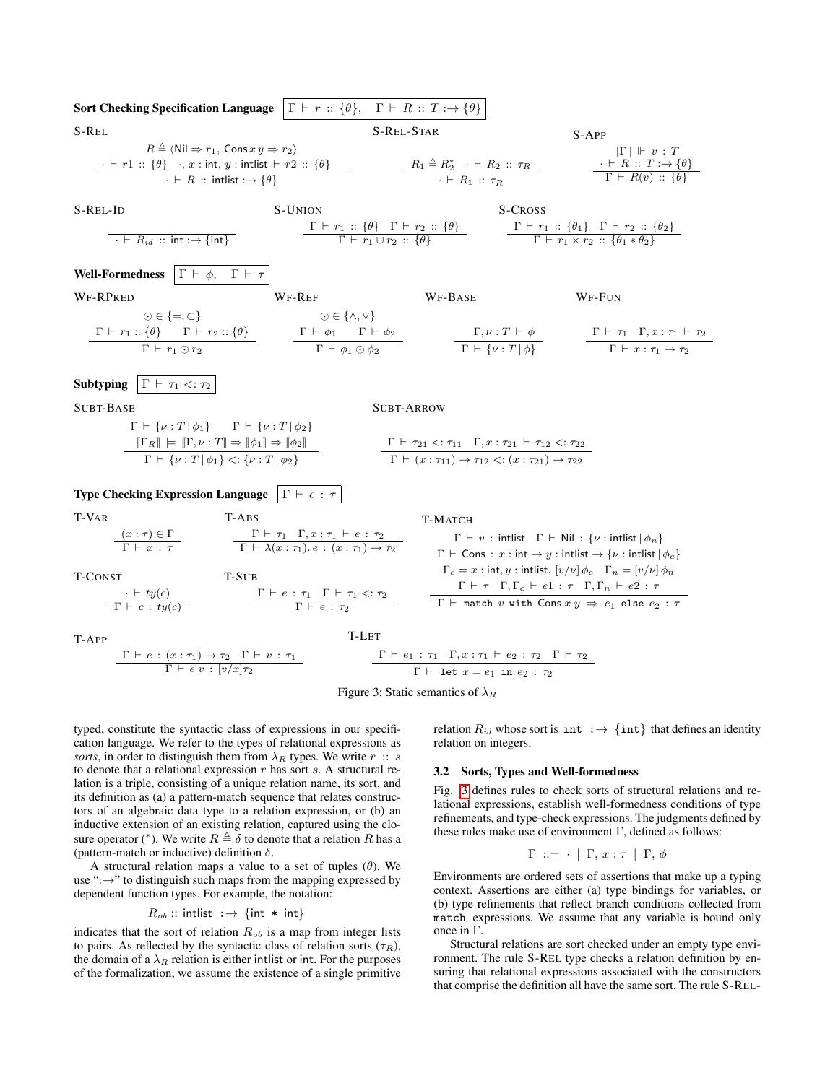<span id="page-4-0"></span>

| <b>Sort Checking Specification Language</b> $\Gamma \vdash r :: \{\theta\}, \quad \Gamma \vdash R :: T : \rightarrow \{\theta\}$                                                                                                                                                                                                                                                                                                                                                                                                                                                                   |                                                                                                                      |                                                                                                                                                                                                                                                                            |                                                                                                      |                                                                                                                                                                                                                                                                                               |  |
|----------------------------------------------------------------------------------------------------------------------------------------------------------------------------------------------------------------------------------------------------------------------------------------------------------------------------------------------------------------------------------------------------------------------------------------------------------------------------------------------------------------------------------------------------------------------------------------------------|----------------------------------------------------------------------------------------------------------------------|----------------------------------------------------------------------------------------------------------------------------------------------------------------------------------------------------------------------------------------------------------------------------|------------------------------------------------------------------------------------------------------|-----------------------------------------------------------------------------------------------------------------------------------------------------------------------------------------------------------------------------------------------------------------------------------------------|--|
| S-REL                                                                                                                                                                                                                                                                                                                                                                                                                                                                                                                                                                                              |                                                                                                                      | S-REL-STAR                                                                                                                                                                                                                                                                 |                                                                                                      | $S-APP$                                                                                                                                                                                                                                                                                       |  |
| $R \triangleq \langle$ Nil $\Rightarrow$ $r_1$ , Cons $x \, y \Rightarrow r_2 \rangle$<br>$\begin{array}{c} \begin{array}{c} \text{$\iota$} \vdash r1::\{\theta\} \end{array} \begin{array}{c} \text{$\iota$} \vdash \text{var} \Rightarrow r_1 \text{, } \text{cons}\, xy \Rightarrow r_2 \text{)} \\ \hline \text{$\iota$} \vdash r1::\{\theta\} \end{array} \begin{array}{c} \text{$\iota$} \vdash \text{var} \vdash r_1::\text{int}\, y::\text{intlist} \vdash r2::\{\theta\} \end{array} \end{array} \qquad \qquad \begin{array}{c} \begin{array}{c} \text{$R_1 \triangleq R_2^* \end{array}$ |                                                                                                                      |                                                                                                                                                                                                                                                                            |                                                                                                      |                                                                                                                                                                                                                                                                                               |  |
| S-REL-ID<br>$\overline{\cdot \vdash R_{id} :: \text{int} : \rightarrow \{\text{int}\}}$                                                                                                                                                                                                                                                                                                                                                                                                                                                                                                            | S-UNION                                                                                                              | $\frac{\Gamma\vdash r_1 :: \{\theta\} \quad \Gamma\vdash r_2 :: \{\theta\}}{\Gamma\vdash r_1 \cup r_2 :: \{\theta\}} \qquad \qquad \frac{\Gamma\vdash r_1 :: \{\theta_1\} \quad \Gamma\vdash r_2 :: \{\theta_2\}}{\Gamma\vdash r_1 \times r_2 :: \{\theta_1 * \theta_2\}}$ | S-CROSS                                                                                              |                                                                                                                                                                                                                                                                                               |  |
| <b>Well-Formedness</b> $\Gamma \vdash \phi$ , $\Gamma \vdash \tau$                                                                                                                                                                                                                                                                                                                                                                                                                                                                                                                                 |                                                                                                                      |                                                                                                                                                                                                                                                                            |                                                                                                      |                                                                                                                                                                                                                                                                                               |  |
| <b>WF-RPRED</b>                                                                                                                                                                                                                                                                                                                                                                                                                                                                                                                                                                                    | WF-REF                                                                                                               | WF-BASE                                                                                                                                                                                                                                                                    |                                                                                                      | WF-FUN                                                                                                                                                                                                                                                                                        |  |
| $\odot \in \{ =, \subset \}$                                                                                                                                                                                                                                                                                                                                                                                                                                                                                                                                                                       | $\odot \in \{\wedge, \vee\}$                                                                                         |                                                                                                                                                                                                                                                                            |                                                                                                      |                                                                                                                                                                                                                                                                                               |  |
| <b>Subtyping</b> $ \Gamma \vdash \tau_1 \lt: : \tau_2 $                                                                                                                                                                                                                                                                                                                                                                                                                                                                                                                                            |                                                                                                                      |                                                                                                                                                                                                                                                                            |                                                                                                      |                                                                                                                                                                                                                                                                                               |  |
| <b>SUBT-BASE</b>                                                                                                                                                                                                                                                                                                                                                                                                                                                                                                                                                                                   |                                                                                                                      | <b>SUBT-ARROW</b>                                                                                                                                                                                                                                                          |                                                                                                      |                                                                                                                                                                                                                                                                                               |  |
| $\Gamma \vdash \{\nu : T   \phi_1\} \qquad \Gamma \vdash \{\nu : T   \phi_2\}$<br>$\frac{\llbracket \Gamma_R \rrbracket \models \llbracket \Gamma, \nu : T \rrbracket \Rightarrow \llbracket \phi_1 \rrbracket \Rightarrow \llbracket \phi_2 \rrbracket}{\Gamma \vdash \{\nu : T \, \, \phi_1\} \lt;\colon \{\nu : T \, \, \phi_2\}}$                                                                                                                                                                                                                                                              |                                                                                                                      | $\Gamma \vdash \tau_{21} <: \tau_{11} \quad \Gamma, x : \tau_{21} \vdash \tau_{12} <: \tau_{22}$<br>$\Gamma \vdash (x : \tau_{11}) \rightarrow \tau_{12} \leq (x : \tau_{21}) \rightarrow \tau_{22}$                                                                       |                                                                                                      |                                                                                                                                                                                                                                                                                               |  |
| <b>Type Checking Expression Language</b> $\Gamma \vdash e : \tau$                                                                                                                                                                                                                                                                                                                                                                                                                                                                                                                                  |                                                                                                                      |                                                                                                                                                                                                                                                                            |                                                                                                      |                                                                                                                                                                                                                                                                                               |  |
| <b>T-VAR</b><br>T-ABS                                                                                                                                                                                                                                                                                                                                                                                                                                                                                                                                                                              | $(x:\tau) \in \Gamma$<br>$\Gamma \vdash x:\tau$<br>$\Gamma \vdash \lambda(x:\tau_1).e:(x:\tau_1) \rightarrow \tau_2$ | <b>T-MATCH</b>                                                                                                                                                                                                                                                             |                                                                                                      | $\Gamma \vdash v :$ intlist $\Gamma \vdash$ Nil : {v : intlist $ \phi_n\rangle$<br>$\Gamma \vdash \mathsf{Cons} : x : \mathsf{int} \to y : \mathsf{intlist} \to \{\nu : \mathsf{intlist} \,   \, \phi_c\}$<br>$\Gamma_c = x$ : int, y : intlist, $[v/\nu] \phi_c$ $\Gamma_n = [v/\nu] \phi_n$ |  |
| T-CONST<br>T-SUB<br>$\frac{\cdot \vdash ty(c)}{\Gamma \vdash c : tu(c)}$ $\frac{\Gamma \vdash e : \tau_1 \quad \Gamma \vdash \tau_1 \leq \tau_2}{\Gamma \vdash e : \tau_2}$                                                                                                                                                                                                                                                                                                                                                                                                                        |                                                                                                                      |                                                                                                                                                                                                                                                                            | $\Gamma \vdash \tau \quad \Gamma, \Gamma_c \vdash e1 : \tau \quad \Gamma, \Gamma_n \vdash e2 : \tau$ | $\overline{\Gamma \vdash}$ match v with Cons $x y \Rightarrow e_1$ else $e_2 : \tau$                                                                                                                                                                                                          |  |
| T-APP<br>$\frac{\Gamma \vdash e : (x : \tau_1) \rightarrow \tau_2 \quad \Gamma \vdash v : \tau_1}{\Gamma \vdash e v : [v/x]\tau_2}$                                                                                                                                                                                                                                                                                                                                                                                                                                                                | T-LET                                                                                                                | $\frac{\Gamma \vdash e_1 : \tau_1 \quad \Gamma, x : \tau_1 \vdash e_2 : \tau_2 \quad \Gamma \vdash \tau_2}{\Gamma \vdash \texttt{let } x = e_1 \texttt{ in } e_2 : \tau_2}$                                                                                                |                                                                                                      |                                                                                                                                                                                                                                                                                               |  |

Figure 3: Static semantics of  $\lambda_R$ 

typed, constitute the syntactic class of expressions in our specification language. We refer to the types of relational expressions as *sorts*, in order to distinguish them from  $\lambda_R$  types. We write  $r :: s$ to denote that a relational expression  $r$  has sort  $s$ . A structural relation is a triple, consisting of a unique relation name, its sort, and its definition as (a) a pattern-match sequence that relates constructors of an algebraic data type to a relation expression, or (b) an inductive extension of an existing relation, captured using the closure operator (\*). We write  $R \triangleq \delta$  to denote that a relation R has a (pattern-match or inductive) definition  $\delta$ .

A structural relation maps a value to a set of tuples  $(\theta)$ . We use ":→" to distinguish such maps from the mapping expressed by dependent function types. For example, the notation:

$$
R_{ob}::\text{ intlist }:\rightarrow\{\text{int}*\text{ int}\}
$$

indicates that the sort of relation  $R_{ob}$  is a map from integer lists to pairs. As reflected by the syntactic class of relation sorts  $(\tau_R)$ , the domain of a  $\lambda_R$  relation is either intlist or int. For the purposes of the formalization, we assume the existence of a single primitive relation  $R_{id}$  whose sort is int :  $\rightarrow \{\text{int}\}\$  that defines an identity relation on integers.

## 3.2 Sorts, Types and Well-formedness

Fig. [3](#page-4-0) defines rules to check sorts of structural relations and relational expressions, establish well-formedness conditions of type refinements, and type-check expressions. The judgments defined by these rules make use of environment Γ, defined as follows:

$$
\Gamma \ ::= \ \cdot \ | \ \Gamma, \, x : \tau \ | \ \Gamma, \, \phi
$$

Environments are ordered sets of assertions that make up a typing context. Assertions are either (a) type bindings for variables, or (b) type refinements that reflect branch conditions collected from match expressions. We assume that any variable is bound only once in Γ.

Structural relations are sort checked under an empty type environment. The rule S-REL type checks a relation definition by ensuring that relational expressions associated with the constructors that comprise the definition all have the same sort. The rule S-REL-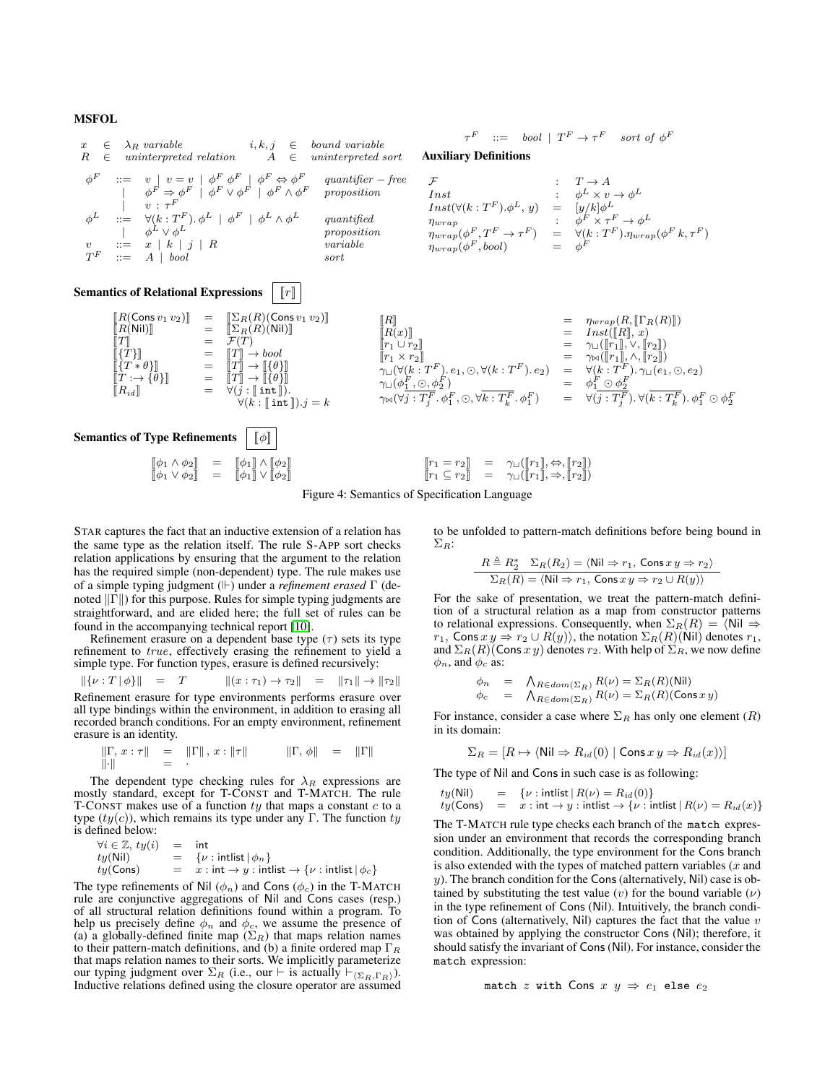## <span id="page-5-0"></span>**MSFOL**

x ∈ λ<sup>R</sup> variable i, k, j ∈ bound variable R ∈ uninterpreted relation A ∈ uninterpreted sort φ <sup>F</sup> ::= v | v = v | φ <sup>F</sup> φ <sup>F</sup> | φ <sup>F</sup> ⇔ φ <sup>F</sup> quantifier − free | φ <sup>F</sup> ⇒ φ <sup>F</sup> | φ <sup>F</sup> ∨ φ <sup>F</sup> | φ <sup>F</sup> ∧ φ <sup>F</sup> proposition | v : τ F φ <sup>L</sup> ::= ∀(k : T <sup>F</sup> ). φ<sup>L</sup> | φ <sup>F</sup> | φ <sup>L</sup> ∧ φ <sup>L</sup> quantified | φ <sup>L</sup> ∨ φ <sup>L</sup> proposition v ::= x | k | j | R variable T <sup>F</sup> ::= A | bool sort τ <sup>F</sup> ::= bool | T <sup>F</sup> → τ <sup>F</sup> sort of φ F Auxiliary Definitions F : T → A Inst : φ <sup>L</sup> × v → φ L Inst(∀(k : T <sup>F</sup> ).φL, y) = [y/k]φ L ηwrap : φ <sup>F</sup> × τ <sup>F</sup> → φ L ηwrap(φ <sup>F</sup> , T <sup>F</sup> → τ <sup>F</sup> ) = ∀(k : T <sup>F</sup> ).ηwrap(φ <sup>F</sup> k, τ<sup>F</sup> ) ηwrap(φ <sup>F</sup> , bool) = φ F Semantics of Relational Expressions <sup>J</sup>r<sup>K</sup> <sup>J</sup>R(Cons <sup>v</sup><sup>1</sup> <sup>v</sup>2)<sup>K</sup> <sup>=</sup> <sup>J</sup>ΣR(R)(Cons <sup>v</sup><sup>1</sup> <sup>v</sup>2)<sup>K</sup> <sup>J</sup>R(Nil)<sup>K</sup> <sup>=</sup> <sup>J</sup>ΣR(R)(Nil)<sup>K</sup> <sup>J</sup>T<sup>K</sup> <sup>=</sup> <sup>F</sup>(T) <sup>J</sup>{T}<sup>K</sup> <sup>=</sup> <sup>J</sup>T<sup>K</sup> <sup>→</sup> bool <sup>J</sup>{<sup>T</sup> <sup>∗</sup> <sup>θ</sup>}<sup>K</sup> <sup>=</sup> <sup>J</sup>T<sup>K</sup> <sup>→</sup> <sup>J</sup>{θ}<sup>K</sup> <sup>J</sup><sup>T</sup> :→ {θ}<sup>K</sup> <sup>=</sup> <sup>J</sup>T<sup>K</sup> <sup>→</sup> <sup>J</sup>{θ}<sup>K</sup> <sup>J</sup>Rid <sup>K</sup> <sup>=</sup> <sup>∀</sup>(<sup>j</sup> : <sup>J</sup> int <sup>K</sup>). <sup>∀</sup>(<sup>k</sup> : <sup>J</sup> int <sup>K</sup>).j <sup>=</sup> <sup>k</sup> <sup>J</sup>R<sup>K</sup> <sup>=</sup> <sup>η</sup>wrap(R, <sup>J</sup>ΓR(R)K) <sup>J</sup>R(x)<sup>K</sup> <sup>=</sup> Inst(JRK, x) <sup>J</sup>r<sup>1</sup> <sup>∪</sup> <sup>r</sup>2<sup>K</sup> <sup>=</sup> <sup>γ</sup>t(Jr1K, <sup>∨</sup>, <sup>J</sup>r2K) <sup>J</sup>r<sup>1</sup> <sup>×</sup> <sup>r</sup>2<sup>K</sup> <sup>=</sup> <sup>γ</sup>✶(Jr1K, <sup>∧</sup>, <sup>J</sup>r2K) γt(∀(k : T <sup>F</sup> ). e1, , ∀(k : T <sup>F</sup> ). e2) = ∀(k : T <sup>F</sup> ). γt(e1, , e2) γt(φ F 1 , , φ<sup>F</sup> 2 ) = φ F <sup>1</sup>  φ F 2 γ✶(∀j : T F j . φ<sup>F</sup> 1 , , ∀k : T F k . φ<sup>F</sup> 1 ) = ∀(j : T F j ). ∀(k : T F k ). φ<sup>F</sup> <sup>1</sup>  φ Semantics of Type Refinements <sup>J</sup>φ<sup>K</sup> <sup>J</sup>φ<sup>1</sup> <sup>∧</sup> <sup>φ</sup>2<sup>K</sup> <sup>=</sup> <sup>J</sup>φ1<sup>K</sup> <sup>∧</sup> <sup>J</sup>φ2<sup>K</sup> <sup>J</sup>φ<sup>1</sup> <sup>∨</sup> <sup>φ</sup>2<sup>K</sup> <sup>=</sup> <sup>J</sup>φ1<sup>K</sup> <sup>∨</sup> <sup>J</sup>φ2<sup>K</sup> <sup>J</sup>r<sup>1</sup> <sup>=</sup> <sup>r</sup>2<sup>K</sup> <sup>=</sup> <sup>γ</sup>t(Jr1K, <sup>⇔</sup>, <sup>J</sup>r2K) <sup>J</sup>r<sup>1</sup> <sup>⊆</sup> <sup>r</sup>2<sup>K</sup> <sup>=</sup> <sup>γ</sup>t(Jr1K, <sup>⇒</sup>, <sup>J</sup>r2K)

Figure 4: Semantics of Specification Language

STAR captures the fact that an inductive extension of a relation has the same type as the relation itself. The rule S-APP sort checks relation applications by ensuring that the argument to the relation has the required simple (non-dependent) type. The rule makes use of a simple typing judgment ( ) under a *refinement erased* Γ (denoted  $\|\Gamma\|$ ) for this purpose. Rules for simple typing judgments are straightforward, and are elided here; the full set of rules can be found in the accompanying technical report [\[10\]](#page-13-5).

Refinement erasure on a dependent base type  $(\tau)$  sets its type refinement to *true*, effectively erasing the refinement to yield a simple type. For function types, erasure is defined recursively:

$$
\|\{\nu:T \,|\, \phi\}\| = T \qquad \|(x:\tau_1) \to \tau_2\| = \|\tau_1\| \to \|\tau_2\|
$$

Refinement erasure for type environments performs erasure over all type bindings within the environment, in addition to erasing all recorded branch conditions. For an empty environment, refinement erasure is an identity.

$$
\begin{array}{rcl}\n\left\| \Gamma, x : \tau \right\| & = & \left\| \Gamma \right\|, x : \left\| \tau \right\| \\
\left\| \cdot \right\| & = & \cdot\n\end{array}
$$

The dependent type checking rules for  $\lambda_R$  expressions are mostly standard, except for T-CONST and T-MATCH. The rule T-CONST makes use of a function  $ty$  that maps a constant  $c$  to a type  $(ty(c))$ , which remains its type under any Γ. The function  $ty$ is defined below:

$$
\begin{array}{rcl}\n\forall i \in \mathbb{Z}, \, ty(i) & = & \textrm{int} \\
ty(\textrm{Nil}) & = & \{\nu: \textrm{intlist} \, | \, \phi_n\} \\
ty(\textrm{Cons}) & = & x: \textrm{int} \rightarrow y: \textrm{intlist} \rightarrow \{\nu: \textrm{intlist} \, | \, \phi_c\}\n\end{array}
$$

The type refinements of Nil  $(\phi_n)$  and Cons  $(\phi_c)$  in the T-MATCH rule are conjunctive aggregations of Nil and Cons cases (resp.) of all structural relation definitions found within a program. To help us precisely define  $\phi_n$  and  $\phi_c$ , we assume the presence of (a) a globally-defined finite map ( $\Sigma_R$ ) that maps relation names to their pattern-match definitions, and (b) a finite ordered map  $\Gamma_R$ that maps relation names to their sorts. We implicitly parameterize our typing judgment over  $\Sigma_R$  (i.e., our  $\vdash$  is actually  $\vdash_{(\Sigma_R,\Gamma_R)}$ ). Inductive relations defined using the closure operator are assumed to be unfolded to pattern-match definitions before being bound in  $\Sigma_R$ :

F 2

$$
\frac{R\triangleq R_2^* \quad \Sigma_R(R_2)=\langle {\sf Nil} \Rightarrow r_1, \ {\sf Cons}\, x \, y \Rightarrow r_2 \rangle}{\Sigma_R(R)=\langle {\sf Nil} \Rightarrow r_1, \ {\sf Cons}\, x \, y \Rightarrow r_2 \cup R(y) \rangle}
$$

For the sake of presentation, we treat the pattern-match definition of a structural relation as a map from constructor patterns to relational expressions. Consequently, when  $\Sigma_R(R) = \overline{\langle N\mathbf{i}| \rangle}$  $r_1$ , Cons  $x y \Rightarrow r_2 \cup R(y)$ , the notation  $\Sigma_R(R)(Nil)$  denotes  $r_1$ , and  $\Sigma_R(R)$ (Cons x y) denotes r<sub>2</sub>. With help of  $\Sigma_R$ , we now define  $\phi_n$ , and  $\phi_c$  as:

$$
\begin{array}{rcl}\n\phi_n & = & \bigwedge_{R \in dom(\Sigma_R)} R(\nu) = \Sigma_R(R)(\text{Nil}) \\
\phi_c & = & \bigwedge_{R \in dom(\Sigma_R)} R(\nu) = \Sigma_R(R)(\text{Cons } x \, y)\n\end{array}
$$

For instance, consider a case where  $\Sigma_R$  has only one element  $(R)$ in its domain:

$$
\Sigma_R = [R \mapsto \langle \text{Nil} \Rightarrow R_{id}(0) \mid \text{Cons } x \, y \Rightarrow R_{id}(x) \rangle]
$$

The type of Nil and Cons in such case is as following:

$$
ty(\text{Nil}) = \{ \nu : \text{intlist} \mid R(\nu) = R_{id}(0) \}
$$
  

$$
ty(\text{Cons}) = x : \text{int} \rightarrow y : \text{intlist} \rightarrow \{ \nu : \text{intlist} \mid R(\nu) = R_{id}(x) \}
$$

The T-MATCH rule type checks each branch of the match expression under an environment that records the corresponding branch condition. Additionally, the type environment for the Cons branch is also extended with the types of matched pattern variables  $(x$  and y). The branch condition for the Cons (alternatively, Nil) case is obtained by substituting the test value  $(v)$  for the bound variable  $(v)$ in the type refinement of Cons (Nil). Intuitively, the branch condition of Cons (alternatively, Nil) captures the fact that the value  $v$ was obtained by applying the constructor Cons (Nil); therefore, it should satisfy the invariant of Cons (Nil). For instance, consider the match expression:

$$
\mathtt{match}~z~\mathtt{with}~\mathsf{Cons}~x~y \,\Rightarrow\, e_1~\mathtt{else}~e_2
$$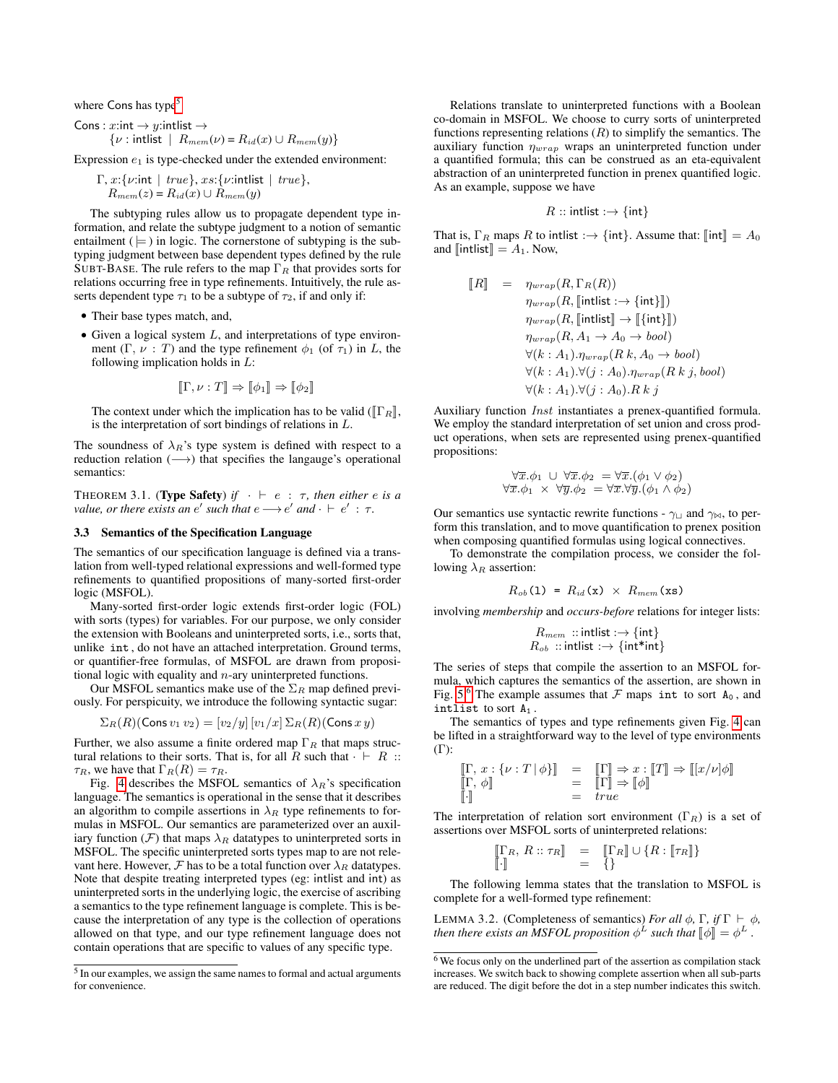where Cons has type<sup>[5](#page-6-0)</sup>

Cons :  $x$ :int  $\rightarrow$   $y$ :intlist  $\rightarrow$ 

$$
\{\nu : \text{intlist} \mid R_{mem}(\nu) = R_{id}(x) \cup R_{mem}(y)\}
$$

Expression  $e_1$  is type-checked under the extended environment:

$$
\Gamma, x: \{\nu : \mathsf{int} \mid \mathit{true}\}, \mathit{xs}: \{\nu : \mathsf{intlist} \mid \mathit{true}\}, \\
R_{mem}(z) = R_{id}(x) \cup R_{mem}(y)
$$

The subtyping rules allow us to propagate dependent type information, and relate the subtype judgment to a notion of semantic entailment ( $\models$ ) in logic. The cornerstone of subtyping is the subtyping judgment between base dependent types defined by the rule SUBT-BASE. The rule refers to the map  $\Gamma_R$  that provides sorts for relations occurring free in type refinements. Intuitively, the rule asserts dependent type  $\tau_1$  to be a subtype of  $\tau_2$ , if and only if:

- Their base types match, and,
- Given a logical system  $L$ , and interpretations of type environment  $(\Gamma, \nu : T)$  and the type refinement  $\phi_1$  (of  $\tau_1$ ) in L, the following implication holds in  $L$ :

$$
[\![\Gamma,\nu:T]\!] \Rightarrow [\![\phi_1]\!] \Rightarrow [\![\phi_2]\!]
$$

The context under which the implication has to be valid ( $\llbracket \Gamma_R \rrbracket$ , is the interpretation of sort bindings of relations in L.

The soundness of  $\lambda_R$ 's type system is defined with respect to a reduction relation (−→) that specifies the langauge's operational semantics:

THEOREM 3.1. (Type Safety) *if*  $\cdot \vdash e : \tau$ *, then either e is a value, or there exists an e' such that*  $e \rightarrow e'$  *and*  $\cdot \vdash e' : \tau$ .

## 3.3 Semantics of the Specification Language

The semantics of our specification language is defined via a translation from well-typed relational expressions and well-formed type refinements to quantified propositions of many-sorted first-order logic (MSFOL).

Many-sorted first-order logic extends first-order logic (FOL) with sorts (types) for variables. For our purpose, we only consider the extension with Booleans and uninterpreted sorts, i.e., sorts that, unlike int , do not have an attached interpretation. Ground terms, or quantifier-free formulas, of MSFOL are drawn from propositional logic with equality and  $n$ -ary uninterpreted functions.

Our MSFOL semantics make use of the  $\Sigma_R$  map defined previously. For perspicuity, we introduce the following syntactic sugar:

$$
\Sigma_R(R)(\mathsf{Cons}\,v_1\,v_2)=[v_2/y]\,[v_1/x]\,\Sigma_R(R)(\mathsf{Cons}\,x\,y)
$$

Further, we also assume a finite ordered map  $\Gamma_R$  that maps structural relations to their sorts. That is, for all  $\overline{R}$  such that  $\cdot \vdash R ::$  $\tau_R$ , we have that  $\Gamma_R(R) = \tau_R$ .

Fig. [4](#page-5-0) describes the MSFOL semantics of  $\lambda_R$ 's specification language. The semantics is operational in the sense that it describes an algorithm to compile assertions in  $\lambda_R$  type refinements to formulas in MSFOL. Our semantics are parameterized over an auxiliary function  $(F)$  that maps  $\lambda_R$  datatypes to uninterpreted sorts in MSFOL. The specific uninterpreted sorts types map to are not relevant here. However,  $\mathcal F$  has to be a total function over  $\lambda_R$  datatypes. Note that despite treating interpreted types (eg: intlist and int) as uninterpreted sorts in the underlying logic, the exercise of ascribing a semantics to the type refinement language is complete. This is because the interpretation of any type is the collection of operations allowed on that type, and our type refinement language does not contain operations that are specific to values of any specific type.

Relations translate to uninterpreted functions with a Boolean co-domain in MSFOL. We choose to curry sorts of uninterpreted functions representing relations  $(R)$  to simplify the semantics. The auxiliary function  $\eta_{wrap}$  wraps an uninterpreted function under a quantified formula; this can be construed as an eta-equivalent abstraction of an uninterpreted function in prenex quantified logic. As an example, suppose we have

$$
R::\text{intlist}:\rightarrow{\text{int}}
$$

That is,  $\Gamma_R$  maps R to intlist : $\rightarrow$  {int}. Assume that:  $\|\text{int}\| = A_0$ and  $\llbracket \text{intlist} \rrbracket = A_1$ . Now,

$$
[R] = \eta_{wrap}(R, \Gamma_R(R))
$$
  
\n
$$
\eta_{wrap}(R, [\text{intlist} : \to \{\text{int}\}])
$$
  
\n
$$
\eta_{wrap}(R, [\text{intlist}] \to [\{\text{int}\}])
$$
  
\n
$$
\eta_{wrap}(R, A_1 \to A_0 \to bool)
$$
  
\n
$$
\forall (k : A_1). \eta_{wrap}(R k, A_0 \to bool)
$$
  
\n
$$
\forall (k : A_1). \forall (j : A_0). \eta_{wrap}(R k j, bool)
$$
  
\n
$$
\forall (k : A_1). \forall (j : A_0). R k j
$$

Auxiliary function Inst instantiates a prenex-quantified formula. We employ the standard interpretation of set union and cross product operations, when sets are represented using prenex-quantified propositions:

$$
\forall \overline{x}.\phi_1 \cup \forall \overline{x}.\phi_2 = \forall \overline{x}.(\phi_1 \vee \phi_2)
$$
  

$$
\forall \overline{x}.\phi_1 \times \forall \overline{y}.\phi_2 = \forall \overline{x}.\forall \overline{y}.(\phi_1 \wedge \phi_2)
$$

Our semantics use syntactic rewrite functions -  $\gamma_{\square}$  and  $\gamma_{\bowtie}$ , to perform this translation, and to move quantification to prenex position when composing quantified formulas using logical connectives.

To demonstrate the compilation process, we consider the following  $\lambda_R$  assertion:

$$
R_{ob}(1) = R_{id}(x) \times R_{mem}(xs)
$$

involving *membership* and *occurs-before* relations for integer lists:

$$
R_{mem}::\text{intlist}:\rightarrow{\text{int}}
$$

$$
R_{ob}::\text{intlist}:\rightarrow{\text{int*int}}
$$

The series of steps that compile the assertion to an MSFOL formula, which captures the semantics of the assertion, are shown in Fig. [5.](#page-7-1)<sup>[6](#page-6-1)</sup> The example assumes that  $\mathcal F$  maps int to sort  $A_0$ , and intlist to sort  $A_1$ .

The semantics of types and type refinements given Fig. [4](#page-5-0) can be lifted in a straightforward way to the level of type environments (Γ):

$$
\begin{array}{rcl}\n[\Gamma, x : \{\nu : T | \phi\} & = & [\Gamma] \Rightarrow x : [\![T]\!] \Rightarrow [[x/\nu]\phi] \\
[\Gamma, \phi] & = & [\![\Gamma]\!] \Rightarrow [\![\phi]\!] \\
[\cdot]\n\end{array}
$$

The interpretation of relation sort environment ( $\Gamma_R$ ) is a set of assertions over MSFOL sorts of uninterpreted relations:

<span id="page-6-2"></span>
$$
\begin{array}{rcl}\n\llbracket \Gamma_R, R :: \tau_R \rrbracket & = & \llbracket \Gamma_R \rrbracket \cup \{R : \llbracket \tau_R \rrbracket\} \\
= & \{\}\n\end{array}
$$

The following lemma states that the translation to MSFOL is complete for a well-formed type refinement:

LEMMA 3.2. (Completeness of semantics) *For all*  $\phi$ , Γ, *if* Γ  $\vdash \phi$ , *then there exists an MSFOL proposition*  $\phi^L$  *such that*  $[\![\phi]\!] = \phi^L$ *.*

<span id="page-6-0"></span> $<sup>5</sup>$  In our examples, we assign the same names to formal and actual arguments</sup> for convenience.

<span id="page-6-1"></span><sup>&</sup>lt;sup>6</sup> We focus only on the underlined part of the assertion as compilation stack increases. We switch back to showing complete assertion when all sub-parts are reduced. The digit before the dot in a step number indicates this switch.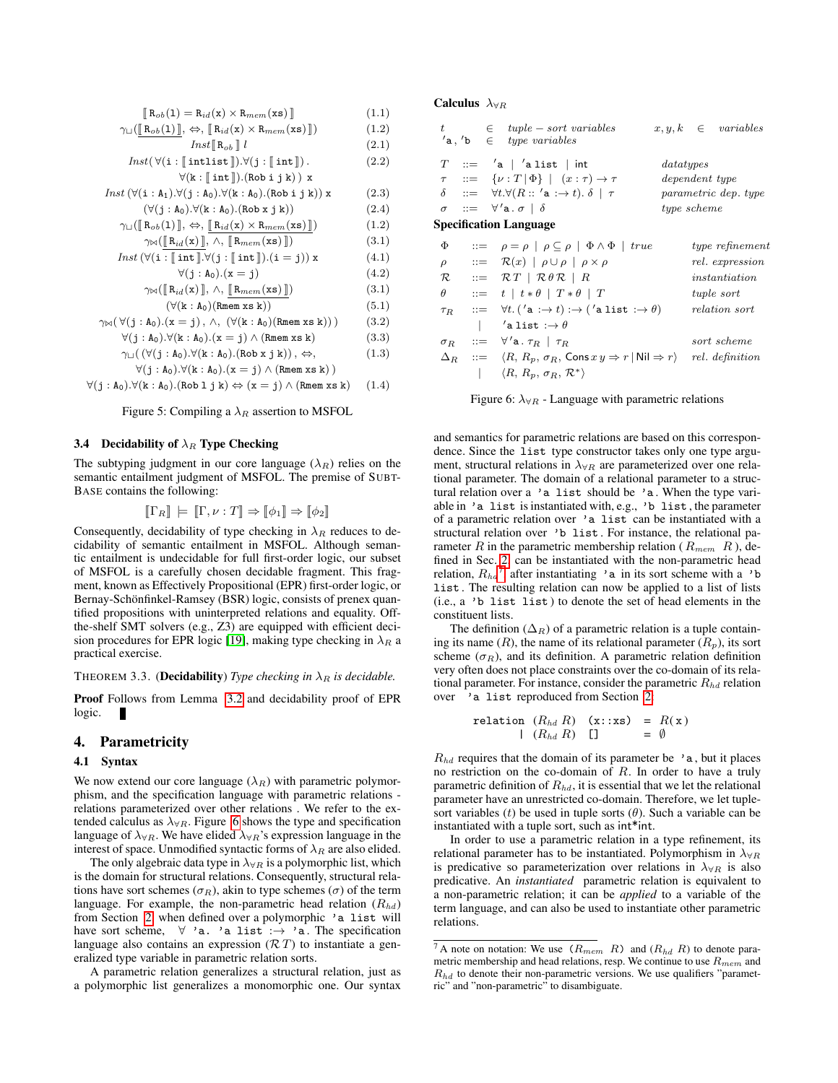<span id="page-7-1"></span>

| $\mathbb{R}_{ab}(1) = \mathbb{R}_{id}(\mathbf{x}) \times \mathbb{R}_{mem}(\mathbf{x}\mathbf{s})$                                                                                                                                              | (1.1) |
|-----------------------------------------------------------------------------------------------------------------------------------------------------------------------------------------------------------------------------------------------|-------|
| $\gamma{\scriptstyle\sqcup}(\lbrack\!\lbrack\,\rbrack\!\rbrack\, \mathsf{R}_{ob}(1)\,\rbrack\!\rbrack\,,\Leftrightarrow,\,\lbrack\!\lbrack\,\rbrack\!\rbrack\,\rbrack\!\rbrack_{\mathit{id}}(x)\times\mathsf{R}_{mem}(xs)\,\rbrack\!\rbrack)$ | (1.2) |
| $Inst\llbracket R_{oh} \rrbracket l$                                                                                                                                                                                                          | (2.1) |
| $Inst(\forall(i : \ \text{intlist}\ ).\forall(j : \ \text{int}\ ).$                                                                                                                                                                           | (2.2) |
| $\forall (k : \lbrack \lbrack \text{int} \rbrack) . (Rob i j k)) x$                                                                                                                                                                           |       |
| $Inst \left(\forall(i : A_1).\forall(j : A_0).\forall(k : A_0).(Rob i j k)\right) x$                                                                                                                                                          | (2.3) |
| $(\forall (j : A_0). \forall (k : A_0). (Rob x j k))$                                                                                                                                                                                         | (2.4) |
| $\gamma _{\sqcup }([ \hspace{-.03in} [ R_{ob} (1) \hspace{-.03in} ]], \Leftrightarrow , \hspace{-.03in} [ \hspace{-.03in} [ R_{id} (\texttt{x}) \times R_{mem} (\texttt{xs}) \hspace{-.03in} ]])$                                             | (1.2) |
| $\gamma_{\bowtie}(\llbracket R_{id}(x) \rrbracket, \wedge, \llbracket R_{mem}(xs) \rrbracket)$                                                                                                                                                | (3.1) |
| $Inst \left(\forall(i : \ \text{int}\right], \forall (j : \ \text{int}\ ).(i = j)\right)$ x                                                                                                                                                   | (4.1) |
| $\forall (i : A_0).$ $(x = i)$                                                                                                                                                                                                                | (4.2) |
| $\gamma \bowtie (\llbracket R_{id}(x) \rrbracket, \wedge, \llbracket R_{mem}(xs) \rrbracket)$                                                                                                                                                 | (3.1) |
| $(\forall (k : A_0)(Rmem xs k))$                                                                                                                                                                                                              | (5.1) |
| $\gamma_{\bowtie}(\forall(j : A_0).(x = j), \wedge, (\forall(k : A_0)(\texttt{Rmem xs } k)))$                                                                                                                                                 | (3.2) |
| $\forall (j : A_0) . \forall (k : A_0) . (x = j) \land (Rmem xs k)$                                                                                                                                                                           | (3.3) |
| $\gamma_{\square}((\forall(j : A_0).\forall(k : A_0).(\text{Rob } x j k)), \Leftrightarrow$                                                                                                                                                   | (1.3) |
| $\forall (j : A_0) . \forall (k : A_0) . (x = j) \land (Rmem xs k))$                                                                                                                                                                          |       |
| $\forall (j : A_0). \forall (k : A_0). (Rob 1 j k) \Leftrightarrow (x = j) \land (Rem x s k)$                                                                                                                                                 | (1.4) |
|                                                                                                                                                                                                                                               |       |

Figure 5: Compiling a  $\lambda_R$  assertion to MSFOL

## 3.4 Decidability of  $\lambda_R$  Type Checking

The subtyping judgment in our core language  $(\lambda_R)$  relies on the semantic entailment judgment of MSFOL. The premise of SUBT-BASE contains the following:

$$
\llbracket \Gamma_R \rrbracket \models \llbracket \Gamma, \nu : T \rrbracket \Rightarrow \llbracket \phi_1 \rrbracket \Rightarrow \llbracket \phi_2 \rrbracket
$$

Consequently, decidability of type checking in  $\lambda_R$  reduces to decidability of semantic entailment in MSFOL. Although semantic entailment is undecidable for full first-order logic, our subset of MSFOL is a carefully chosen decidable fragment. This fragment, known as Effectively Propositional (EPR) first-order logic, or Bernay-Schönfinkel-Ramsey (BSR) logic, consists of prenex quantified propositions with uninterpreted relations and equality. Offthe-shelf SMT solvers (e.g., Z3) are equipped with efficient deci-sion procedures for EPR logic [\[19\]](#page-13-6), making type checking in  $\lambda_R$  a practical exercise.

## <span id="page-7-4"></span>THEOREM 3.3. (Decidability) *Type checking in*  $\lambda_R$  *is decidable.*

Proof Follows from Lemma [3.2](#page-6-2) and decidability proof of EPR logic.

## <span id="page-7-0"></span>4. Parametricity

#### 4.1 Syntax

We now extend our core language  $(\lambda_R)$  with parametric polymorphism, and the specification language with parametric relations relations parameterized over other relations . We refer to the extended calculus as  $\lambda_{\forall R}$ . Figure [6](#page-7-2) shows the type and specification language of  $\lambda_{\forall R}$ . We have elided  $\lambda_{\forall R}$ 's expression language in the interest of space. Unmodified syntactic forms of  $\lambda_R$  are also elided.

The only algebraic data type in  $\lambda_{\forall R}$  is a polymorphic list, which is the domain for structural relations. Consequently, structural relations have sort schemes ( $\sigma_R$ ), akin to type schemes ( $\sigma$ ) of the term language. For example, the non-parametric head relation  $(R_{hd})$ from Section [2,](#page-2-2) when defined over a polymorphic 'a list will have sort scheme,  $\forall$  'a. 'a list : $\rightarrow$  'a. The specification language also contains an expression  $(\mathcal{R} T)$  to instantiate a generalized type variable in parametric relation sorts.

A parametric relation generalizes a structural relation, just as a polymorphic list generalizes a monomorphic one. Our syntax

#### <span id="page-7-2"></span>Calculus  $\lambda_{\forall R}$

|            | $\in$ tuple – sort variables<br>$'$ a, $'$ b $\in$ type variables                                     | $x, y, k \in variables$ |  |
|------------|-------------------------------------------------------------------------------------------------------|-------------------------|--|
|            | $T$ ::= 'a   'alist   int                                                                             | $d$ atatypes            |  |
|            | $\tau$ ::= $\{\nu : T   \Phi\}$   $(x : \tau) \rightarrow \tau$                                       | dependent type          |  |
|            | $\delta$ ::= $\forall t. \forall (R :: 'a : \rightarrow t). \delta \mid \tau$                         | parametric dep. type    |  |
|            | $\sigma$ ::= $\forall'$ <b>a</b> . $\sigma$   $\delta$                                                | type scheme             |  |
|            | <b>Specification Language</b>                                                                         |                         |  |
| Φ          | $\therefore = \rho = \rho \mid \rho \subset \rho \mid \Phi \wedge \Phi \mid true$                     | type refinement         |  |
| $\rho$     | $\therefore = \mathcal{R}(x)   \rho \cup \rho   \rho \times \rho$                                     | rel. expression         |  |
| R          | $\therefore = \mathcal{R}T \mid \mathcal{R}\theta\mathcal{R} \mid R$                                  | instantiation           |  |
| $\theta$   | $\therefore = t \mid t * \theta \mid T * \theta \mid T$                                               | tuple sort              |  |
| $\tau_R$   | $\Rightarrow$ $\forall t.$ ('a : $\rightarrow$ t) : $\rightarrow$ ('a list : $\rightarrow$ $\theta$ ) | <i>relation sort</i>    |  |
|            | ${}'$ alist : $\rightarrow \theta$                                                                    |                         |  |
| $\sigma_R$ | $\Rightarrow$ $\forall$ 'a. $\tau_R$   $\tau_R$                                                       | sort scheme             |  |

 $\Delta_R$  ::=  $\langle R, R_p, \sigma_R, \text{Cons } x y \Rightarrow r | \text{Nil } \Rightarrow r \rangle$  rel. definition  $\langle R, R_p, \sigma_R, \mathcal{R}^* \rangle$ 

Figure 6:  $\lambda_{\forall R}$  - Language with parametric relations

and semantics for parametric relations are based on this correspondence. Since the list type constructor takes only one type argument, structural relations in  $\lambda_{\forall R}$  are parameterized over one relational parameter. The domain of a relational parameter to a structural relation over a 'a list should be 'a. When the type variable in 'a list is instantiated with, e.g., 'b list , the parameter of a parametric relation over 'a list can be instantiated with a structural relation over 'b list . For instance, the relational parameter R in the parametric membership relation ( $R_{mem}$  R), defined in Sec. [2,](#page-2-2) can be instantiated with the non-parametric head relation,  $R_{hd}$ <sup>[7](#page-7-3)</sup>, after instantiating 'a in its sort scheme with a 'b list . The resulting relation can now be applied to a list of lists (i.e., a 'b list list ) to denote the set of head elements in the constituent lists.

The definition  $(\Delta_R)$  of a parametric relation is a tuple containing its name  $(R)$ , the name of its relational parameter  $(R_p)$ , its sort scheme ( $\sigma_R$ ), and its definition. A parametric relation definition very often does not place constraints over the co-domain of its relational parameter. For instance, consider the parametric  $R_{hd}$  relation over 'a list reproduced from Section [2:](#page-2-2)

relation 
$$
(R_{hd} R)
$$
 (x::xs) =  $R(x)$   
 |  $(R_{hd} R)$  [] =  $\emptyset$ 

 $R_{hd}$  requires that the domain of its parameter be 'a, but it places no restriction on the co-domain of  $R$ . In order to have a truly parametric definition of  $R_{hd}$ , it is essential that we let the relational parameter have an unrestricted co-domain. Therefore, we let tuplesort variables (t) be used in tuple sorts  $(\theta)$ . Such a variable can be instantiated with a tuple sort, such as int\*int.

In order to use a parametric relation in a type refinement, its relational parameter has to be instantiated. Polymorphism in  $\lambda_{\forall R}$ is predicative so parameterization over relations in  $\lambda_{\forall R}$  is also predicative. An *instantiated* parametric relation is equivalent to a non-parametric relation; it can be *applied* to a variable of the term language, and can also be used to instantiate other parametric relations.

<span id="page-7-3"></span><sup>&</sup>lt;sup>7</sup> A note on notation: We use  $(R_{mem} R)$  and  $(R_{hd} R)$  to denote parametric membership and head relations, resp. We continue to use  $\mathcal{R}_{mem}$  and  $R_{hd}$  to denote their non-parametric versions. We use qualifiers "parametric" and "non-parametric" to disambiguate.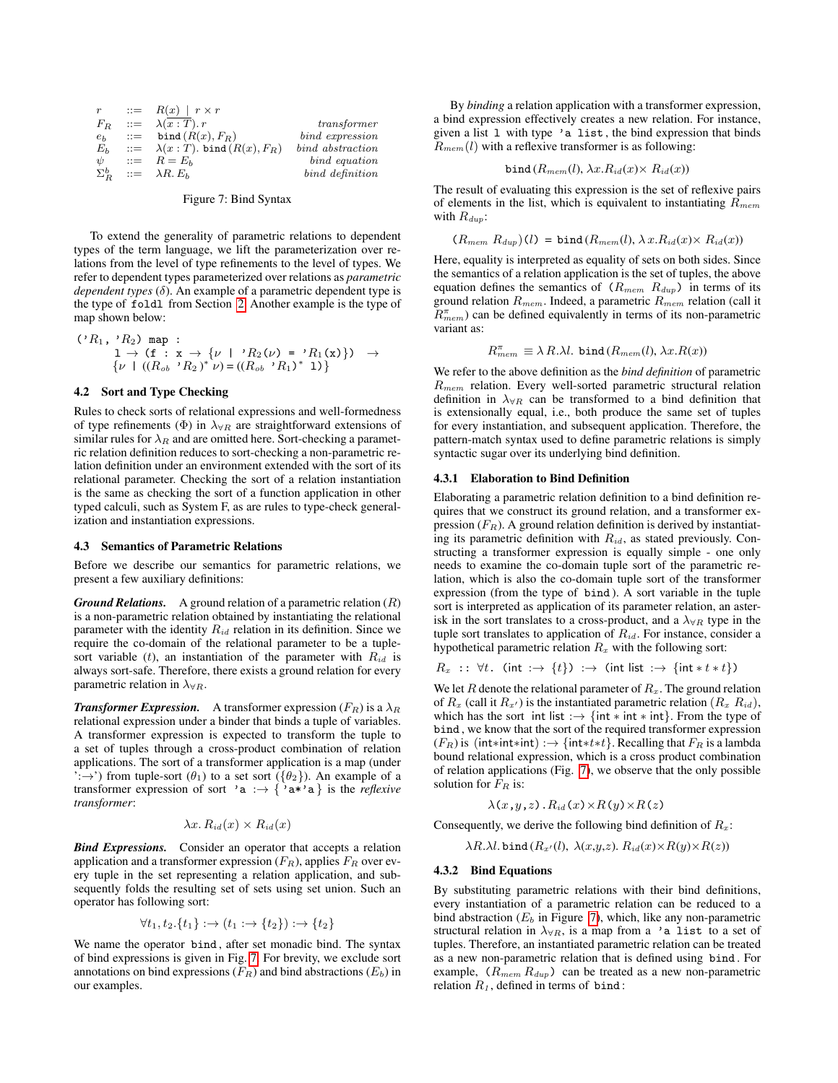<span id="page-8-0"></span>

| r              | $\therefore$ $R(x)$   $r \times r$                   |                  |
|----------------|------------------------------------------------------|------------------|
| $F_R$          | $\therefore = \lambda(\overline{x} : \overline{T}).$ | transformer      |
| e <sub>b</sub> | $ ::=$ bind $(R(x), F_R)$                            | bind expression  |
| $E_b$          | $\therefore = \lambda(x:T)$ . bind $(R(x), F_R)$     | bind abstraction |
| $\psi$         | $\therefore$ $R = E_b$                               | bind equation    |
|                | $\Sigma^b_R$ ::= $\lambda R.E_b$                     | bind definition  |

|  | Figure 7: Bind Syntax |
|--|-----------------------|
|  |                       |

To extend the generality of parametric relations to dependent types of the term language, we lift the parameterization over relations from the level of type refinements to the level of types. We refer to dependent types parameterized over relations as *parametric dependent types* (δ). An example of a parametric dependent type is the type of foldl from Section [2.](#page-2-2) Another example is the type of map shown below:

$$
('R1, 'R2) map :1 → (f : x → {u | 'R2(u) = 'R1(x)} ) →{u | ((Rob 'R2)* u) = ((Rob 'R1)* 1)}
$$

#### 4.2 Sort and Type Checking

Rules to check sorts of relational expressions and well-formedness of type refinements ( $\Phi$ ) in  $\lambda_{\forall R}$  are straightforward extensions of similar rules for  $\lambda_R$  and are omitted here. Sort-checking a parametric relation definition reduces to sort-checking a non-parametric relation definition under an environment extended with the sort of its relational parameter. Checking the sort of a relation instantiation is the same as checking the sort of a function application in other typed calculi, such as System F, as are rules to type-check generalization and instantiation expressions.

## 4.3 Semantics of Parametric Relations

Before we describe our semantics for parametric relations, we present a few auxiliary definitions:

*Ground Relations.* A ground relation of a parametric relation  $(R)$ is a non-parametric relation obtained by instantiating the relational parameter with the identity  $R_{id}$  relation in its definition. Since we require the co-domain of the relational parameter to be a tuplesort variable (t), an instantiation of the parameter with  $R_{id}$  is always sort-safe. Therefore, there exists a ground relation for every parametric relation in  $\lambda_{\forall R}$ .

*Transformer Expression.* A transformer expression  $(F_R)$  is a  $\lambda_R$ relational expression under a binder that binds a tuple of variables. A transformer expression is expected to transform the tuple to a set of tuples through a cross-product combination of relation applications. The sort of a transformer application is a map (under ':→') from tuple-sort ( $\theta_1$ ) to a set sort ( $\{\theta_2\}$ ). An example of a transformer expression of sort 'a : $\rightarrow$  { 'a\*'a } is the *reflexive transformer*:

$$
\lambda x. R_{id}(x) \times R_{id}(x)
$$

*Bind Expressions.* Consider an operator that accepts a relation application and a transformer expression  $(F_R)$ , applies  $F_R$  over every tuple in the set representing a relation application, and subsequently folds the resulting set of sets using set union. Such an operator has following sort:

$$
\forall t_1, t_2. \{t_1\} \colon \rightarrow (t_1 \colon \rightarrow \{t_2\}) \colon \rightarrow \{t_2\}
$$

We name the operator bind , after set monadic bind. The syntax of bind expressions is given in Fig. [7.](#page-8-0) For brevity, we exclude sort annotations on bind expressions  $(F_R)$  and bind abstractions  $(E_b)$  in our examples.

By *binding* a relation application with a transformer expression, a bind expression effectively creates a new relation. For instance, given a list l with type 'a list , the bind expression that binds  $R_{mem}(l)$  with a reflexive transformer is as following:

$$
\text{bind}(R_{mem}(l), \lambda x. R_{id}(x) \times R_{id}(x))
$$

The result of evaluating this expression is the set of reflexive pairs of elements in the list, which is equivalent to instantiating  $\tilde{R}_{mem}$ with  $R_{dup}$ :

$$
(R_{mem} R_{dup})(l) = \text{bind}(R_{mem}(l), \lambda x. R_{id}(x) \times R_{id}(x))
$$

Here, equality is interpreted as equality of sets on both sides. Since the semantics of a relation application is the set of tuples, the above equation defines the semantics of  $(R_{mem} R_{dup})$  in terms of its ground relation  $R_{mem}$ . Indeed, a parametric  $R_{mem}$  relation (call it  $\overline{R}_{mem}^{\pi}$ ) can be defined equivalently in terms of its non-parametric variant as:

$$
R^{\pi}_{mem} \equiv \lambda R.\lambda l. \text{ bind}(R_{mem}(l), \lambda x.R(x))
$$

We refer to the above definition as the *bind definition* of parametric  $R_{mem}$  relation. Every well-sorted parametric structural relation definition in  $\lambda_{\forall R}$  can be transformed to a bind definition that is extensionally equal, i.e., both produce the same set of tuples for every instantiation, and subsequent application. Therefore, the pattern-match syntax used to define parametric relations is simply syntactic sugar over its underlying bind definition.

#### 4.3.1 Elaboration to Bind Definition

Elaborating a parametric relation definition to a bind definition requires that we construct its ground relation, and a transformer expression  $(F_R)$ . A ground relation definition is derived by instantiating its parametric definition with  $R_{id}$ , as stated previously. Constructing a transformer expression is equally simple - one only needs to examine the co-domain tuple sort of the parametric relation, which is also the co-domain tuple sort of the transformer expression (from the type of bind ). A sort variable in the tuple sort is interpreted as application of its parameter relation, an asterisk in the sort translates to a cross-product, and a  $\lambda_{\forall R}$  type in the tuple sort translates to application of  $R_{id}$ . For instance, consider a hypothetical parametric relation  $R_x$  with the following sort:

$$
R_x : : \forall t. \; (\mathsf{int} : \rightarrow \{t\}) : \rightarrow (\mathsf{int} \; \mathsf{list} : \rightarrow \{ \mathsf{int} * t * t \})
$$

We let R denote the relational parameter of  $R_x$ . The ground relation of  $R_x$  (call it  $R_{x'}$ ) is the instantiated parametric relation  $(R_x R_{id})$ , which has the sort int list :  $\rightarrow$  {int \* int \* int}. From the type of bind , we know that the sort of the required transformer expression  $(F_R)$  is (int\*int\*int) :  $\rightarrow$  {int\*t\*t}. Recalling that  $F_R$  is a lambda bound relational expression, which is a cross product combination of relation applications (Fig. [7\)](#page-8-0), we observe that the only possible solution for  $F_R$  is:

$$
\lambda(x,y,z) \cdot R_{id}(x) \times R(y) \times R(z)
$$

Consequently, we derive the following bind definition of  $R_x$ :

 $\lambda R.\lambda l$ . bind  $(R_{x'}(l), \ \lambda(x,y,z)$ .  $R_{id}(x)\times R(y)\times R(z))$ 

## 4.3.2 Bind Equations

By substituting parametric relations with their bind definitions, every instantiation of a parametric relation can be reduced to a bind abstraction ( $E<sub>b</sub>$  in Figure [7\)](#page-8-0), which, like any non-parametric structural relation in  $\lambda_{\forall R}$ , is a map from a 'a list to a set of tuples. Therefore, an instantiated parametric relation can be treated as a new non-parametric relation that is defined using bind . For example,  $(R_{mem} R_{dup})$  can be treated as a new non-parametric relation  $R_1$ , defined in terms of bind: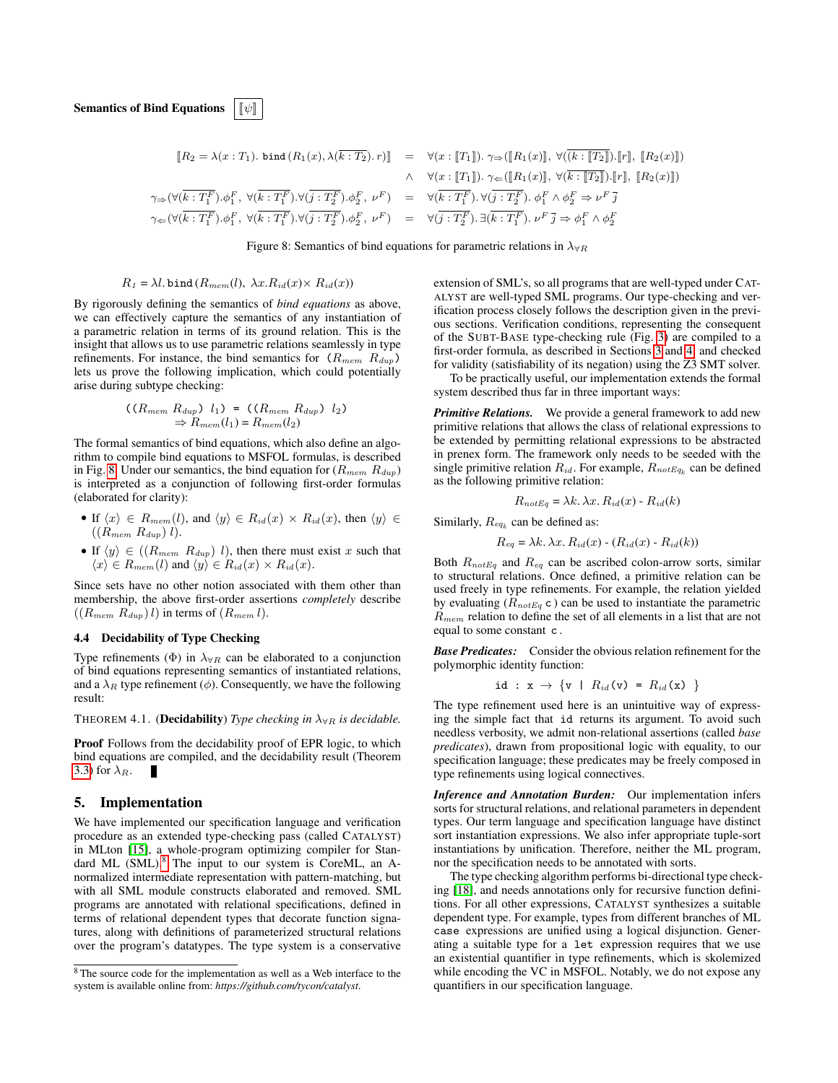<span id="page-9-1"></span>
$$
\begin{array}{rcll} \left[\!\!\!\begin{array}{rcl} R_2=\lambda(x:T_1).\,\,\text{bind}\left(R_1(x),\lambda(\overline{k:T_2}).\,r\right)\right] & = & \forall (x:\left[\!\!\!\begin{array}{rcl} T_1\right]\!\!\!\!\!\right],\,\,\gamma_{\Rightarrow}(\left[\!\!\!\left[R_1(x)\right]\!\!\!\!\right],\,\,\forall ((k:\left[\!\!\!\left[T_2\right]\!\!\!\right],\left[\!\!\!\left[r\right]\!\!\!\right],\,\left[R_2(x)\right]\!\!\!\right) \\[2mm] & \wedge & \forall (x:\left[\!\!\!\left[T_1\right]\!\!\!\!\right],\,\,\gamma_{\Leftarrow}(\left[\!\!\left[R_1(x)\right]\!\!\!\!\right],\,\,\forall (\overline{k:\left[\!\!\!\left[T_2\right]\!\!\!\right}],\left[\!\!\!\left[r\right]\!\!\!\right],\,\left[R_2(x)\right]\!\!\!\right) \\[2mm] & \wedge & \forall (x:\left[\!\!\!\left[T_1\right]\!\!\!\right],\,\,\gamma_{\Leftarrow}(\left[\!\!\left[R_1(x)\right]\!\!\!\right],\,\,\forall (\overline{k:\left[\!\!\left[T_2\right]\!\!\!\right}],\left[\!\!\!\left[r\right]\!\!\!\right],\,\left[\!\!\left[R_2(x)\right]\!\!\!\right]) \\[2mm] & \gamma_{\Leftarrow}(\forall (\overline{k:T_1^F}).\phi_1^F,\,\,\forall (\overline{k:T_1^F}).\forall (\overline{j:T_2^F}).\phi_2^F,\,\,\nu^F) & = & \forall (\overline{j:T_2^F}).\,\exists (\overline{k:T_1^F}).\,\,\nu^F\,\,\overline{j}\Rightarrow\phi_1^F\wedge\phi_2^F \\[2mm] & \gamma_{\Leftarrow}(\forall (\overline{k:T_1^F}).\phi_1^F,\,\,\forall (\overline{k:T_1^F}).\forall (\overline{j:T_2^F}).\phi_2^F,\,\,\nu^F) & = & \forall (\overline{j:T_2^F}).\,\exists (\overline{k:T_1^F}).\,\,\nu^F\,\,\overline{j}\Rightarrow\phi_1^F\wedge\phi_2^F \end{array} \end{array}
$$

Figure 8: Semantics of bind equations for parametric relations in  $\lambda_{\forall R}$ 

$$
R_1 = \lambda l
$$
. bind  $(R_{mem}(l), \lambda x.R_{id}(x) \times R_{id}(x))$ 

By rigorously defining the semantics of *bind equations* as above, we can effectively capture the semantics of any instantiation of a parametric relation in terms of its ground relation. This is the insight that allows us to use parametric relations seamlessly in type refinements. For instance, the bind semantics for  $(R_{mem} R_{dup})$ lets us prove the following implication, which could potentially arise during subtype checking:

$$
((R_{mem} R_{dup}) l_1) = ((R_{mem} R_{dup}) l_2)
$$
  

$$
\Rightarrow R_{mem}(l_1) = R_{mem}(l_2)
$$

The formal semantics of bind equations, which also define an algorithm to compile bind equations to MSFOL formulas, is described in Fig. [8.](#page-9-1) Under our semantics, the bind equation for  $(R_{mem} R_{dup})$ is interpreted as a conjunction of following first-order formulas (elaborated for clarity):

- If  $\langle x \rangle \in R_{mem}(l)$ , and  $\langle y \rangle \in R_{id}(x) \times R_{id}(x)$ , then  $\langle y \rangle \in$  $((R_{mem} R_{dup}) l).$
- If  $\langle y \rangle \in ((R_{mem} R_{dup}) l)$ , then there must exist x such that  $\langle x \rangle \in R_{mem}(l)$  and  $\langle y \rangle \in R_{id}(x) \times R_{id}(x)$ .

Since sets have no other notion associated with them other than membership, the above first-order assertions *completely* describe  $((R_{mem} R_{dup}) l)$  in terms of  $(R_{mem} l)$ .

## 4.4 Decidability of Type Checking

Type refinements ( $\Phi$ ) in  $\lambda_{\forall R}$  can be elaborated to a conjunction of bind equations representing semantics of instantiated relations, and a  $\lambda_R$  type refinement ( $\phi$ ). Consequently, we have the following result:

THEOREM 4.1. (Decidability) *Type checking in*  $\lambda_{\forall R}$  *is decidable.* 

Proof Follows from the decidability proof of EPR logic, to which bind equations are compiled, and the decidability result (Theorem [3.3\)](#page-7-4) for  $\lambda_R$ .

## <span id="page-9-0"></span>5. Implementation

We have implemented our specification language and verification procedure as an extended type-checking pass (called CATALYST) in MLton [\[15\]](#page-13-7), a whole-program optimizing compiler for Stan-dard ML (SML).<sup>[8](#page-9-2)</sup> The input to our system is CoreML, an Anormalized intermediate representation with pattern-matching, but with all SML module constructs elaborated and removed. SML programs are annotated with relational specifications, defined in terms of relational dependent types that decorate function signatures, along with definitions of parameterized structural relations over the program's datatypes. The type system is a conservative

extension of SML's, so all programs that are well-typed under CAT-ALYST are well-typed SML programs. Our type-checking and verification process closely follows the description given in the previous sections. Verification conditions, representing the consequent of the SUBT-BASE type-checking rule (Fig. [3\)](#page-4-0) are compiled to a first-order formula, as described in Sections [3](#page-3-0) and [4,](#page-7-0) and checked for validity (satisfiability of its negation) using the Z3 SMT solver.

To be practically useful, our implementation extends the formal system described thus far in three important ways:

*Primitive Relations.* We provide a general framework to add new primitive relations that allows the class of relational expressions to be extended by permitting relational expressions to be abstracted in prenex form. The framework only needs to be seeded with the single primitive relation  $R_{id}$ . For example,  $R_{notEq_k}$  can be defined as the following primitive relation:

$$
R_{notEq} = \lambda k. \lambda x. R_{id}(x) - R_{id}(k)
$$

Similarly,  $R_{eq_k}$  can be defined as:

 $R_{eq} = \lambda k. \lambda x. R_{id}(x) - (R_{id}(x) - R_{id}(k))$ 

Both  $R_{notEq}$  and  $R_{eq}$  can be ascribed colon-arrow sorts, similar to structural relations. Once defined, a primitive relation can be used freely in type refinements. For example, the relation yielded by evaluating ( $R_{notEq}$  c) can be used to instantiate the parametric  $R_{mem}$  relation to define the set of all elements in a list that are not equal to some constant c .

*Base Predicates:* Consider the obvious relation refinement for the polymorphic identity function:

$$
\mathtt{id} : \mathtt{x} \to \{ \mathtt{v} \mid R_{id}(\mathtt{v}) = R_{id}(\mathtt{x}) \}
$$

The type refinement used here is an unintuitive way of expressing the simple fact that id returns its argument. To avoid such needless verbosity, we admit non-relational assertions (called *base predicates*), drawn from propositional logic with equality, to our specification language; these predicates may be freely composed in type refinements using logical connectives.

*Inference and Annotation Burden:* Our implementation infers sorts for structural relations, and relational parameters in dependent types. Our term language and specification language have distinct sort instantiation expressions. We also infer appropriate tuple-sort instantiations by unification. Therefore, neither the ML program, nor the specification needs to be annotated with sorts.

The type checking algorithm performs bi-directional type checking [\[18\]](#page-13-8), and needs annotations only for recursive function definitions. For all other expressions, CATALYST synthesizes a suitable dependent type. For example, types from different branches of ML case expressions are unified using a logical disjunction. Generating a suitable type for a let expression requires that we use an existential quantifier in type refinements, which is skolemized while encoding the VC in MSFOL. Notably, we do not expose any quantifiers in our specification language.

<span id="page-9-2"></span><sup>8</sup> The source code for the implementation as well as a Web interface to the system is available online from: *https://github.com/tycon/catalyst*.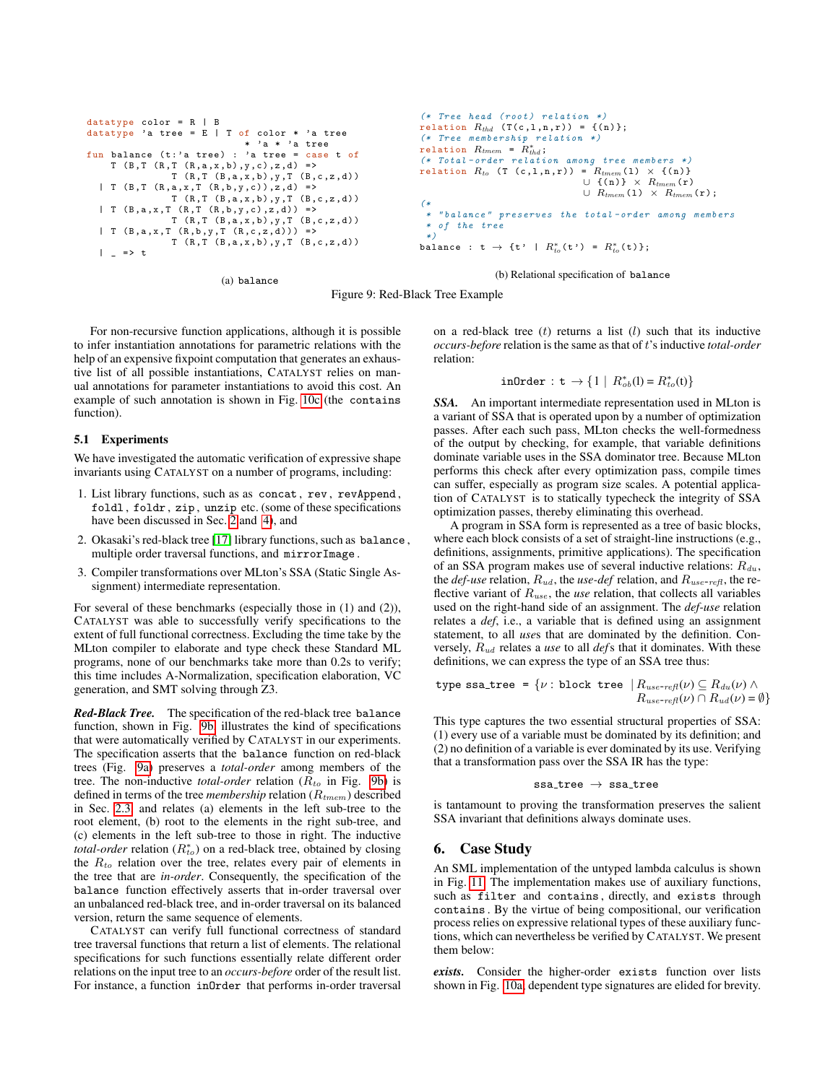```
datatype color = R | B
datatype 'a tree = E | T of color * 'a tree
                                  * 'a * 'a tree
fun balance (t:') a tree) : 'a tree = case t of
    T (B, T (R, T (R, a, x, b), y, c), z, d) =>
                 T (R, T (B, a, x, b), y, T (B, c, z, d))
  | T (B, T (R, a, x, T (R, b, y, c)), z, d) =>
                 T(R, T(R, a, x, b), y, T(R, c, z, d))| T (B, a, x, T (R, T (R, b, y, c), z, d)) |T (R, T (B, a, x, b), y, T (B, c, z, d))| T (B, a, x, T (R, b, y, T (R, c, z, d))) =>
                 T (R, T (B, a, x, b), y, T (B, c, z, d))
  |_ = => t
                                                                         (* Tree head (root) relation *)relation R_{thd} (T(c, l, n, r)) = {(n)};
                                                                         (* Tree membership relation *)<br>relation R_{tmem} = R_{thd}^{*};
                                                                        (* Total-order relation among tree members *)relation R_{to} (T (c,1,n,r)) = R_{tmem}(1) \times \{(\texttt{n})\}<br> \cup {(n)} \times R_{tmem}(\texttt{r})\cup R_{tmem} (1) \times R_{tmem} (r);(*
* " balance " preserves the total - order among members
                                                                         * of the tree
                                                                         *)
                                                                         balance : t \rightarrow {t' | R_{to}^{*} (t') = R_{to}^{*} (t)};
```
(a) balance

(b) Relational specification of balance

Figure 9: Red-Black Tree Example

For non-recursive function applications, although it is possible to infer instantiation annotations for parametric relations with the help of an expensive fixpoint computation that generates an exhaustive list of all possible instantiations, CATALYST relies on manual annotations for parameter instantiations to avoid this cost. An example of such annotation is shown in Fig. [10c](#page-11-0) (the contains function).

#### 5.1 Experiments

We have investigated the automatic verification of expressive shape invariants using CATALYST on a number of programs, including:

- 1. List library functions, such as as concat , rev , revAppend , foldl, foldr, zip, unzip etc. (some of these specifications have been discussed in Sec. [2](#page-2-2) and [4\)](#page-7-0), and
- 2. Okasaki's red-black tree [\[17\]](#page-13-9) library functions, such as balance , multiple order traversal functions, and mirrorImage .
- 3. Compiler transformations over MLton's SSA (Static Single Assignment) intermediate representation.

For several of these benchmarks (especially those in (1) and (2)), CATALYST was able to successfully verify specifications to the extent of full functional correctness. Excluding the time take by the MLton compiler to elaborate and type check these Standard ML programs, none of our benchmarks take more than 0.2s to verify; this time includes A-Normalization, specification elaboration, VC generation, and SMT solving through Z3.

*Red-Black Tree.* The specification of the red-black tree balance function, shown in Fig. [9b,](#page-10-1) illustrates the kind of specifications that were automatically verified by CATALYST in our experiments. The specification asserts that the balance function on red-black trees (Fig. [9a\)](#page-10-1) preserves a *total-order* among members of the tree. The non-inductive *total-order* relation  $(R_{to}$  in Fig. [9b\)](#page-10-1) is defined in terms of the tree *membership* relation  $(R_{tmem})$  described in Sec. [2.3,](#page-3-3) and relates (a) elements in the left sub-tree to the root element, (b) root to the elements in the right sub-tree, and (c) elements in the left sub-tree to those in right. The inductive *total-order* relation  $(R_{to}^*)$  on a red-black tree, obtained by closing the  $R_{to}$  relation over the tree, relates every pair of elements in the tree that are *in-order*. Consequently, the specification of the balance function effectively asserts that in-order traversal over an unbalanced red-black tree, and in-order traversal on its balanced version, return the same sequence of elements.

CATALYST can verify full functional correctness of standard tree traversal functions that return a list of elements. The relational specifications for such functions essentially relate different order relations on the input tree to an *occurs-before* order of the result list. For instance, a function inOrder that performs in-order traversal on a red-black tree  $(t)$  returns a list  $(l)$  such that its inductive *occurs-before* relation is the same as that of t's inductive *total-order* relation:

$$
\texttt{inOrder}: \mathbf{t} \to \{1 \mid R^*_{ob}(l) = R^*_{to}(\mathbf{t})\}
$$

*SSA.* An important intermediate representation used in MLton is a variant of SSA that is operated upon by a number of optimization passes. After each such pass, MLton checks the well-formedness of the output by checking, for example, that variable definitions dominate variable uses in the SSA dominator tree. Because MLton performs this check after every optimization pass, compile times can suffer, especially as program size scales. A potential application of CATALYST is to statically typecheck the integrity of SSA optimization passes, thereby eliminating this overhead.

A program in SSA form is represented as a tree of basic blocks, where each block consists of a set of straight-line instructions (e.g., definitions, assignments, primitive applications). The specification of an SSA program makes use of several inductive relations:  $R_{du}$ , the *def-use* relation,  $R_{ud}$ , the *use-def* relation, and  $R_{use-refl}$ , the reflective variant of  $R_{use}$ , the *use* relation, that collects all variables used on the right-hand side of an assignment. The *def-use* relation relates a *def*, i.e., a variable that is defined using an assignment statement, to all *use*s that are dominated by the definition. Conversely, Rud relates a *use* to all *def*s that it dominates. With these definitions, we can express the type of an SSA tree thus:

$$
\text{type ssa\_tree} = \{ \nu : \text{block tree} \mid R_{user\text{-}refl}(\nu) \subseteq R_{du}(\nu) \land R_{user\text{-}refl}(\nu) \cap R_{ud}(\nu) = \emptyset \}
$$

This type captures the two essential structural properties of SSA: (1) every use of a variable must be dominated by its definition; and (2) no definition of a variable is ever dominated by its use. Verifying that a transformation pass over the SSA IR has the type:

#### $ssa$ <sub>tree</sub>  $\rightarrow$  ssa<sub>tree</sub>

is tantamount to proving the transformation preserves the salient SSA invariant that definitions always dominate uses.

## <span id="page-10-0"></span>6. Case Study

An SML implementation of the untyped lambda calculus is shown in Fig. [11.](#page-11-1) The implementation makes use of auxiliary functions, such as filter and contains , directly, and exists through contains . By the virtue of being compositional, our verification process relies on expressive relational types of these auxiliary functions, which can nevertheless be verified by CATALYST. We present them below:

*exists.* Consider the higher-order exists function over lists shown in Fig. [10a;](#page-11-0) dependent type signatures are elided for brevity.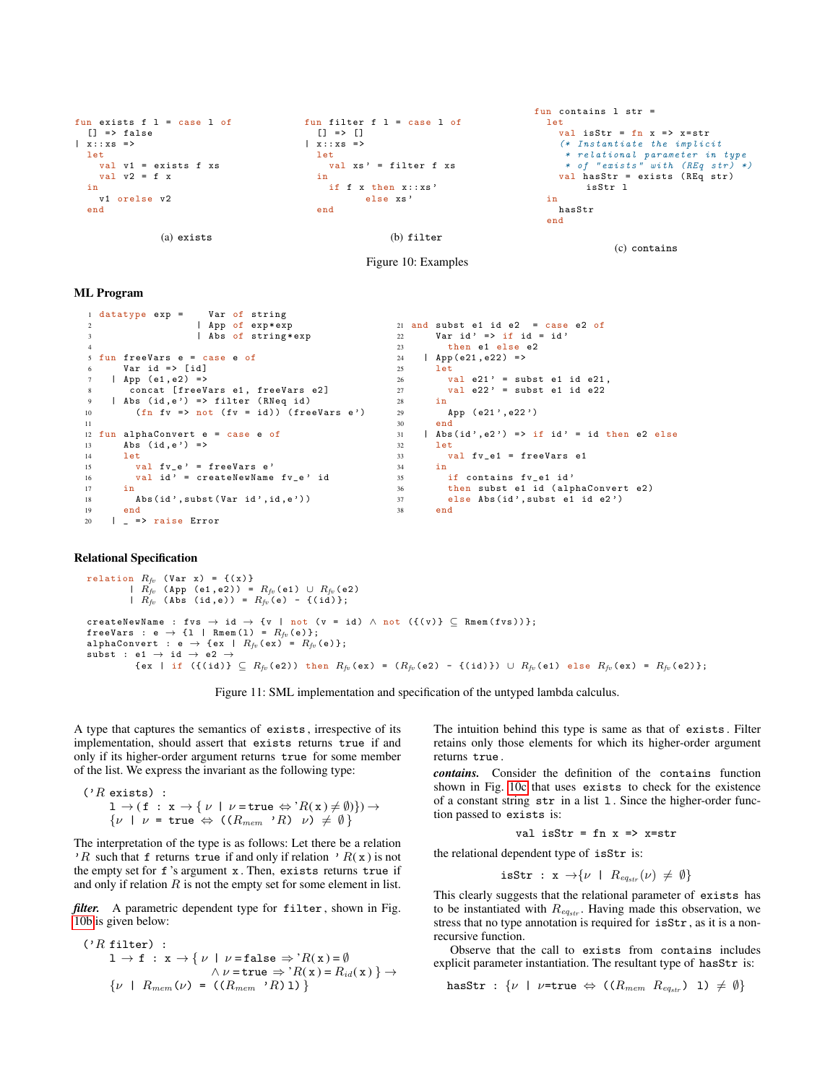```
fun exists f \, 1 = \cose 1 of
 [] => false
| x :: x s =>
 let
    val v1 = exists f xs
    val v2 = f xin
    v1 orelse v2
  end
                (a) exists
                                           fun filter f l = case l of
                                            [] => []
                                           | x :: x s >let
                                               val xs ' = filter f xs
                                             in
                                               if f x then x :: xs '
                                                       else xs '
                                             end
                                                            (b) filter
                                                                                       fun contains l str =
                                                                                         let
                                                                                            val isStr = fn x => x= str
                                                                                            (* Instantiate the implicit
                                                                                             * relational parameter in type
* of " exists " with ( REq str ) *)
                                                                                            val hasStr = exists (REq str)isStr l
                                                                                          in
                                                                                            hasStr
                                                                                         end
```
Figure 10: Examples

(c) contains

## <span id="page-11-1"></span>ML Program

```
1 datatype exp = Var of string
                    | App of exp*exp
                    | Abs of string * exp
 4
5 fun freeVars e = case e of
6 Var id = [id]
    | App (e1, e2) =>
 8 concat [ freeVars e1 , freeVars e2 ]
9 | Abs (id ,e ') => filter ( RNeq id )
10 (fn fv => not (fv = id)) (freeVars e')
11
12 fun alphaConvert e = case e of
13 \text{Abs} (\text{id}, e') \Rightarrow<br>14 \text{let}1et
15 val fv_e' = freeVars e'16 val id' = createNewName fv_e' id
17 in
18 Abs (id', subst (Var id', id, e'))
19 end
20 | _ => raise Error
                                                         21 and subst e1 id e2 = case e2 of<br>
22 Var id' => if id = id'
                                                         22 Var id' => if id = id'<br>
23 then e1 else e2
                                                                  then e1 else e2
                                                         24 | App (e21, e22) =><br>25 1et
                                                                1et
                                                         26 val e21' = subst e1 id e21,
                                                         27 val e22' = subst e1 id e22
                                                         28 in
                                                         29 App (e21', e22')
                                                         30 end<br>31 | Abs
                                                              | Abs (id',e2') => if id' = id then e2 else
                                                         32 let<br>33 v
                                                                  val fv_e1 = freeVars e1
                                                         34 in
                                                         35 if contains fv_e1 id '
                                                         36 then subst e1 id (alphaConvert e2)
                                                         37 else Abs (id ', subst e1 id e2 ')
                                                         38 end
```
#### Relational Specification

relation  $R_{fv}$  (Var x) = {(x)} |  $R_{fv}$  (App (e1,e2)) =  $R_{fv}$ (e1) ∪  $R_{fv}$ (e2)<br>|  $R_{fv}$  (Abs (id,e)) =  $R_{fv}$ (e) - {(id)}; createNewName : fvs  $\rightarrow$  id  $\rightarrow$  {v | not (v = id)  $\land$  not ({(v)}  $\subseteq$  Rmem(fvs))}; freeVars : e  $\rightarrow$  {1 | Rmem(1) =  $R_{fv}$ (e)}; alphaConvert : e  $\rightarrow$  {ex |  $R_{fv}$ (ex) =  $R_{fv}$ (e)};<br>subst : e1  $\rightarrow$  id  $\rightarrow$  e2  $\rightarrow$ { $e\mathbf{x}$  | if ({(id)}  $\subseteq R_{fv}$ (e2)) then  $R_{fv}$ (ex) = ( $R_{fv}$ (e2) - {(id)})  $\cup R_{fv}$ (e1) else  $R_{fv}$ (ex) =  $R_{fv}$ (e2)};

Figure 11: SML implementation and specification of the untyped lambda calculus.

A type that captures the semantics of exists , irrespective of its implementation, should assert that exists returns true if and only if its higher-order argument returns true for some member of the list. We express the invariant as the following type:

$$
('R exists) :\n1 \rightarrow (f : x \rightarrow \{ \nu \mid \nu = \text{true} \Leftrightarrow 'R(x) \neq \emptyset) \}) \rightarrow \n\{\nu \mid \nu = \text{true} \Leftrightarrow ((R_{mem} \cdot R) \ \nu) \neq \emptyset \}
$$

The interpretation of the type is as follows: Let there be a relation 'R such that f returns true if and only if relation ' $R(x)$  is not the empty set for f 's argument x . Then, exists returns true if and only if relation  $R$  is not the empty set for some element in list.

filter. A parametric dependent type for filter, shown in Fig. [10b](#page-11-0) is given below:

$$
('R filter) :\n1 → f : x → {ν | ν=false ⇒ 'R(x) = ∅\n ∧ ν=true ⇒ 'R(x) = Rid(x)} →\n{ν | Rmem(ν) = ((Rmem 'R) 1)}
$$
}

The intuition behind this type is same as that of exists . Filter retains only those elements for which its higher-order argument returns true .

*contains.* Consider the definition of the contains function shown in Fig. [10c](#page-11-0) that uses exists to check for the existence of a constant string str in a list l . Since the higher-order function passed to exists is:

val isStr = fn  $x \Rightarrow x$ =str

the relational dependent type of isStr is:

isStr :  $\mathbf{x} \rightarrow \{v \mid Re_{q_{str}}(v) \neq \emptyset\}$ 

This clearly suggests that the relational parameter of exists has to be instantiated with  $R_{eqstr}$ . Having made this observation, we stress that no type annotation is required for isStr , as it is a nonrecursive function.

Observe that the call to exists from contains includes explicit parameter instantiation. The resultant type of hasStr is:

$$
\mathtt{hasStr}\ :\ \{\nu\ |\ \ \nu\texttt{=true}\ \Leftrightarrow\ (\textit{(R}_{mem}\ \ R_{eq_{str}})\ \ 1)\ \neq\ \emptyset\}
$$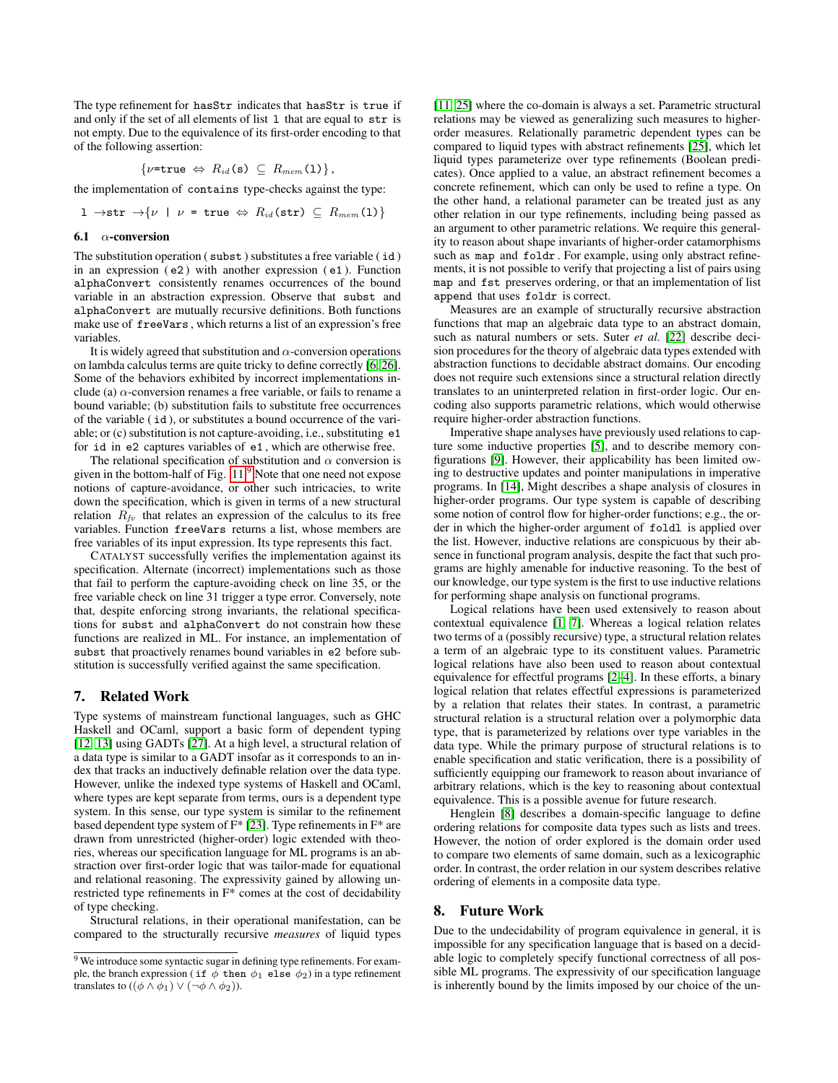The type refinement for hasStr indicates that hasStr is true if and only if the set of all elements of list 1 that are equal to str is not empty. Due to the equivalence of its first-order encoding to that of the following assertion:

$$
\{\nu = \text{true} \Leftrightarrow R_{id}(s) \subseteq R_{mem}(1)\},\
$$

the implementation of contains type-checks against the type:

$$
1 \rightarrow str \rightarrow \{\nu \mid \nu = true \Leftrightarrow R_{id}(str) \subseteq R_{mem}(1)\}
$$

#### 6.1  $\alpha$ -conversion

The substitution operation ( subst ) substitutes a free variable ( id ) in an expression (e2) with another expression (e1). Function alphaConvert consistently renames occurrences of the bound variable in an abstraction expression. Observe that subst and alphaConvert are mutually recursive definitions. Both functions make use of freeVars , which returns a list of an expression's free variables.

It is widely agreed that substitution and  $\alpha$ -conversion operations on lambda calculus terms are quite tricky to define correctly [\[6,](#page-13-10) [26\]](#page-13-11). Some of the behaviors exhibited by incorrect implementations include (a)  $\alpha$ -conversion renames a free variable, or fails to rename a bound variable; (b) substitution fails to substitute free occurrences of the variable ( id ), or substitutes a bound occurrence of the variable; or (c) substitution is not capture-avoiding, i.e., substituting e1 for id in e2 captures variables of e1 , which are otherwise free.

The relational specification of substitution and  $\alpha$  conversion is given in the bottom-half of Fig. [11.](#page-11-1)[9](#page-12-2) Note that one need not expose notions of capture-avoidance, or other such intricacies, to write down the specification, which is given in terms of a new structural relation  $R_{fv}$  that relates an expression of the calculus to its free variables. Function freeVars returns a list, whose members are free variables of its input expression. Its type represents this fact.

CATALYST successfully verifies the implementation against its specification. Alternate (incorrect) implementations such as those that fail to perform the capture-avoiding check on line 35, or the free variable check on line 31 trigger a type error. Conversely, note that, despite enforcing strong invariants, the relational specifications for subst and alphaConvert do not constrain how these functions are realized in ML. For instance, an implementation of subst that proactively renames bound variables in e2 before substitution is successfully verified against the same specification.

## <span id="page-12-0"></span>7. Related Work

Type systems of mainstream functional languages, such as GHC Haskell and OCaml, support a basic form of dependent typing [\[12,](#page-13-12) [13\]](#page-13-13) using GADTs [\[27\]](#page-13-14). At a high level, a structural relation of a data type is similar to a GADT insofar as it corresponds to an index that tracks an inductively definable relation over the data type. However, unlike the indexed type systems of Haskell and OCaml, where types are kept separate from terms, ours is a dependent type system. In this sense, our type system is similar to the refinement based dependent type system of F\* [\[23\]](#page-13-2). Type refinements in F\* are drawn from unrestricted (higher-order) logic extended with theories, whereas our specification language for ML programs is an abstraction over first-order logic that was tailor-made for equational and relational reasoning. The expressivity gained by allowing unrestricted type refinements in F\* comes at the cost of decidability of type checking.

Structural relations, in their operational manifestation, can be compared to the structurally recursive *measures* of liquid types [\[11,](#page-13-15) [25\]](#page-13-16) where the co-domain is always a set. Parametric structural relations may be viewed as generalizing such measures to higherorder measures. Relationally parametric dependent types can be compared to liquid types with abstract refinements [\[25\]](#page-13-16), which let liquid types parameterize over type refinements (Boolean predicates). Once applied to a value, an abstract refinement becomes a concrete refinement, which can only be used to refine a type. On the other hand, a relational parameter can be treated just as any other relation in our type refinements, including being passed as an argument to other parametric relations. We require this generality to reason about shape invariants of higher-order catamorphisms such as map and foldr . For example, using only abstract refinements, it is not possible to verify that projecting a list of pairs using map and fst preserves ordering, or that an implementation of list append that uses foldr is correct.

Measures are an example of structurally recursive abstraction functions that map an algebraic data type to an abstract domain, such as natural numbers or sets. Suter *et al.* [\[22\]](#page-13-17) describe decision procedures for the theory of algebraic data types extended with abstraction functions to decidable abstract domains. Our encoding does not require such extensions since a structural relation directly translates to an uninterpreted relation in first-order logic. Our encoding also supports parametric relations, which would otherwise require higher-order abstraction functions.

Imperative shape analyses have previously used relations to capture some inductive properties [\[5\]](#page-13-18), and to describe memory configurations [\[9\]](#page-13-19). However, their applicability has been limited owing to destructive updates and pointer manipulations in imperative programs. In [\[14\]](#page-13-20), Might describes a shape analysis of closures in higher-order programs. Our type system is capable of describing some notion of control flow for higher-order functions; e.g., the order in which the higher-order argument of foldl is applied over the list. However, inductive relations are conspicuous by their absence in functional program analysis, despite the fact that such programs are highly amenable for inductive reasoning. To the best of our knowledge, our type system is the first to use inductive relations for performing shape analysis on functional programs.

Logical relations have been used extensively to reason about contextual equivalence [\[1,](#page-13-21) [7\]](#page-13-22). Whereas a logical relation relates two terms of a (possibly recursive) type, a structural relation relates a term of an algebraic type to its constituent values. Parametric logical relations have also been used to reason about contextual equivalence for effectful programs [\[2](#page-13-23)[–4\]](#page-13-24). In these efforts, a binary logical relation that relates effectful expressions is parameterized by a relation that relates their states. In contrast, a parametric structural relation is a structural relation over a polymorphic data type, that is parameterized by relations over type variables in the data type. While the primary purpose of structural relations is to enable specification and static verification, there is a possibility of sufficiently equipping our framework to reason about invariance of arbitrary relations, which is the key to reasoning about contextual equivalence. This is a possible avenue for future research.

Henglein [\[8\]](#page-13-25) describes a domain-specific language to define ordering relations for composite data types such as lists and trees. However, the notion of order explored is the domain order used to compare two elements of same domain, such as a lexicographic order. In contrast, the order relation in our system describes relative ordering of elements in a composite data type.

## <span id="page-12-1"></span>8. Future Work

Due to the undecidability of program equivalence in general, it is impossible for any specification language that is based on a decidable logic to completely specify functional correctness of all possible ML programs. The expressivity of our specification language is inherently bound by the limits imposed by our choice of the un-

<span id="page-12-2"></span><sup>9</sup> We introduce some syntactic sugar in defining type refinements. For example, the branch expression (if  $\phi$  then  $\phi_1$  else  $\phi_2$ ) in a type refinement translates to  $((\phi \land \phi_1) \lor (\neg \phi \land \phi_2)).$